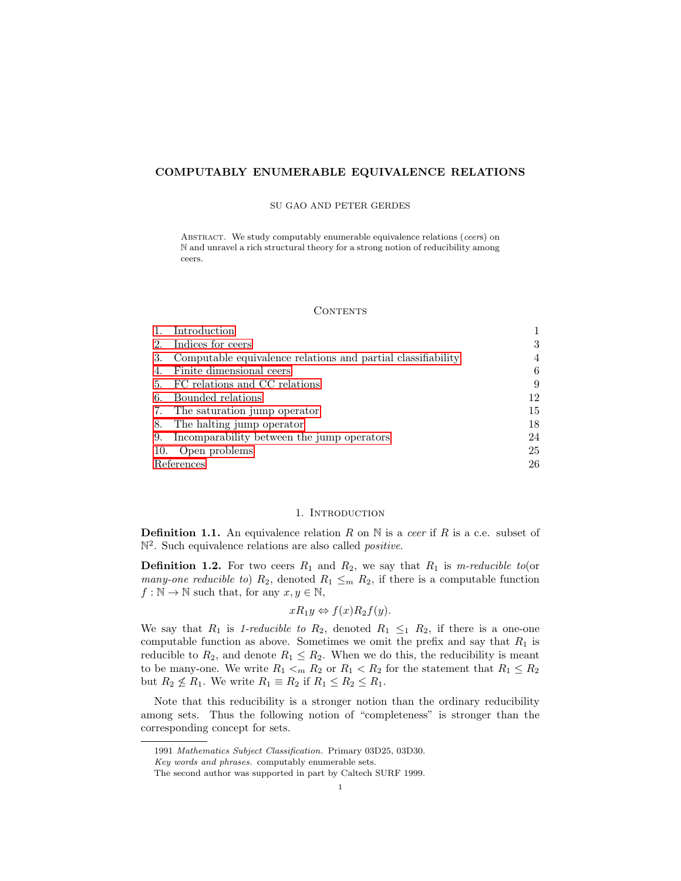# COMPUTABLY ENUMERABLE EQUIVALENCE RELATIONS

#### SU GAO AND PETER GERDES

ABSTRACT. We study computably enumerable equivalence relations (ceers) on N and unravel a rich structural theory for a strong notion of reducibility among ceers.

## **CONTENTS**

|            | Introduction                                                 |                |
|------------|--------------------------------------------------------------|----------------|
| 2.         | Indices for ceers                                            | 3              |
| 3.         | Computable equivalence relations and partial classifiability | $\overline{4}$ |
|            | Finite dimensional ceers                                     | 6              |
| 5.         | FC relations and CC relations                                | 9              |
| 6.         | Bounded relations                                            | 12             |
| 7.         | The saturation jump operator                                 | 15             |
| 8.         | The halting jump operator                                    | 18             |
| 9.         | Incomparability between the jump operators                   | 24             |
| 10.        | Open problems                                                | 25             |
| References |                                                              | 26             |

## 1. INTRODUCTION

<span id="page-0-0"></span>**Definition 1.1.** An equivalence relation R on N is a ceer if R is a c.e. subset of  $\mathbb{N}^2$ . Such equivalence relations are also called *positive*.

**Definition 1.2.** For two ceers  $R_1$  and  $R_2$ , we say that  $R_1$  is *m-reducible to*(or many-one reducible to)  $R_2$ , denoted  $R_1 \leq_m R_2$ , if there is a computable function  $f : \mathbb{N} \to \mathbb{N}$  such that, for any  $x, y \in \mathbb{N}$ ,

$$
xR_1y \Leftrightarrow f(x)R_2f(y).
$$

We say that  $R_1$  is 1-reducible to  $R_2$ , denoted  $R_1 \leq_1 R_2$ , if there is a one-one computable function as above. Sometimes we omit the prefix and say that  $R_1$  is reducible to  $R_2$ , and denote  $R_1 \leq R_2$ . When we do this, the reducibility is meant to be many-one. We write  $R_1 <_{m} R_2$  or  $R_1 < R_2$  for the statement that  $R_1 \leq R_2$ but  $R_2 \nleq R_1$ . We write  $R_1 \equiv R_2$  if  $R_1 \leq R_2 \leq R_1$ .

Note that this reducibility is a stronger notion than the ordinary reducibility among sets. Thus the following notion of "completeness" is stronger than the corresponding concept for sets.

<sup>1991</sup> Mathematics Subject Classification. Primary 03D25, 03D30.

Key words and phrases. computably enumerable sets.

The second author was supported in part by Caltech SURF 1999.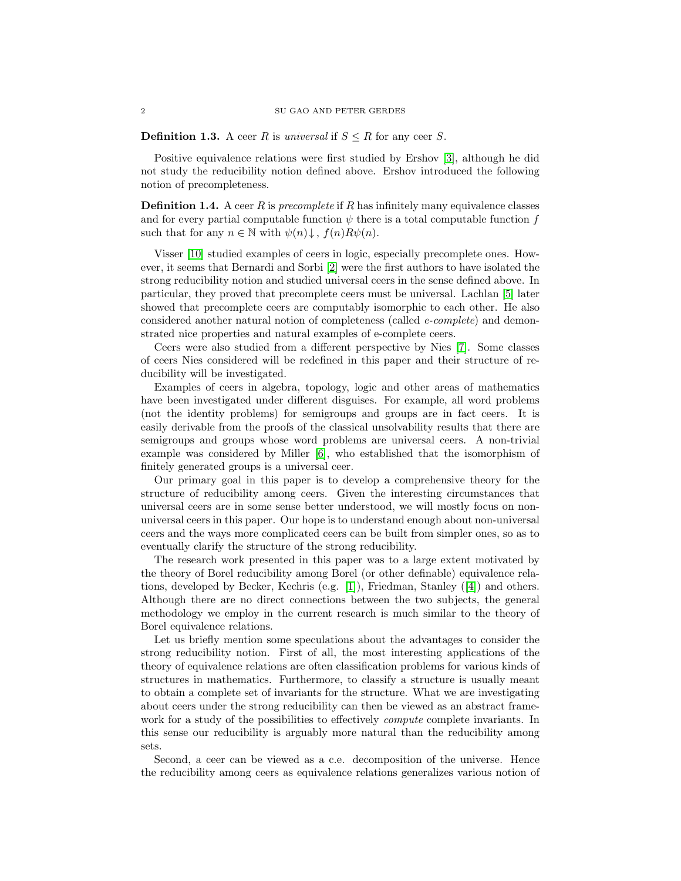<span id="page-1-0"></span>**Definition 1.3.** A ceer R is universal if  $S \leq R$  for any ceer S.

Positive equivalence relations were first studied by Ershov [\[3\]](#page-25-1), although he did not study the reducibility notion defined above. Ershov introduced the following notion of precompleteness.

**Definition 1.4.** A ceer  $R$  is *precomplete* if  $R$  has infinitely many equivalence classes and for every partial computable function  $\psi$  there is a total computable function f such that for any  $n \in \mathbb{N}$  with  $\psi(n) \downarrow$ ,  $f(n)R\psi(n)$ .

Visser [\[10\]](#page-25-2) studied examples of ceers in logic, especially precomplete ones. However, it seems that Bernardi and Sorbi [\[2\]](#page-25-3) were the first authors to have isolated the strong reducibility notion and studied universal ceers in the sense defined above. In particular, they proved that precomplete ceers must be universal. Lachlan [\[5\]](#page-25-4) later showed that precomplete ceers are computably isomorphic to each other. He also considered another natural notion of completeness (called e-complete) and demonstrated nice properties and natural examples of e-complete ceers.

Ceers were also studied from a different perspective by Nies [\[7\]](#page-25-5). Some classes of ceers Nies considered will be redefined in this paper and their structure of reducibility will be investigated.

Examples of ceers in algebra, topology, logic and other areas of mathematics have been investigated under different disguises. For example, all word problems (not the identity problems) for semigroups and groups are in fact ceers. It is easily derivable from the proofs of the classical unsolvability results that there are semigroups and groups whose word problems are universal ceers. A non-trivial example was considered by Miller [\[6\]](#page-25-6), who established that the isomorphism of finitely generated groups is a universal ceer.

Our primary goal in this paper is to develop a comprehensive theory for the structure of reducibility among ceers. Given the interesting circumstances that universal ceers are in some sense better understood, we will mostly focus on nonuniversal ceers in this paper. Our hope is to understand enough about non-universal ceers and the ways more complicated ceers can be built from simpler ones, so as to eventually clarify the structure of the strong reducibility.

The research work presented in this paper was to a large extent motivated by the theory of Borel reducibility among Borel (or other definable) equivalence relations, developed by Becker, Kechris (e.g. [\[1\]](#page-25-7)), Friedman, Stanley([\[4\]](#page-25-8)) and others. Although there are no direct connections between the two subjects, the general methodology we employ in the current research is much similar to the theory of Borel equivalence relations.

Let us briefly mention some speculations about the advantages to consider the strong reducibility notion. First of all, the most interesting applications of the theory of equivalence relations are often classification problems for various kinds of structures in mathematics. Furthermore, to classify a structure is usually meant to obtain a complete set of invariants for the structure. What we are investigating about ceers under the strong reducibility can then be viewed as an abstract framework for a study of the possibilities to effectively *compute* complete invariants. In this sense our reducibility is arguably more natural than the reducibility among sets.

Second, a ceer can be viewed as a c.e. decomposition of the universe. Hence the reducibility among ceers as equivalence relations generalizes various notion of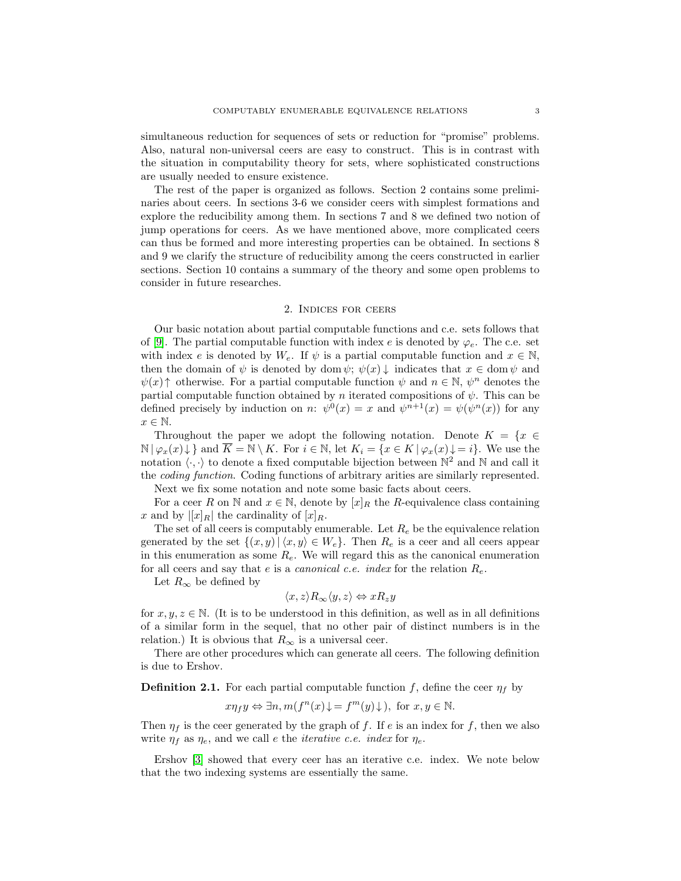<span id="page-2-1"></span>simultaneous reduction for sequences of sets or reduction for "promise" problems. Also, natural non-universal ceers are easy to construct. This is in contrast with the situation in computability theory for sets, where sophisticated constructions are usually needed to ensure existence.

The rest of the paper is organized as follows. Section 2 contains some preliminaries about ceers. In sections 3-6 we consider ceers with simplest formations and explore the reducibility among them. In sections 7 and 8 we defined two notion of jump operations for ceers. As we have mentioned above, more complicated ceers can thus be formed and more interesting properties can be obtained. In sections 8 and 9 we clarify the structure of reducibility among the ceers constructed in earlier sections. Section 10 contains a summary of the theory and some open problems to consider in future researches.

## 2. Indices for ceers

<span id="page-2-0"></span>Our basic notation about partial computable functions and c.e. sets follows that of [\[9\]](#page-25-9). The partial computable function with index e is denoted by  $\varphi_e$ . The c.e. set with index e is denoted by W<sub>e</sub>. If  $\psi$  is a partial computable function and  $x \in \mathbb{N}$ , then the domain of  $\psi$  is denoted by dom  $\psi$ ;  $\psi(x) \downarrow$  indicates that  $x \in \text{dom } \psi$  and  $\psi(x)$   $\uparrow$  otherwise. For a partial computable function  $\psi$  and  $n \in \mathbb{N}$ ,  $\psi^n$  denotes the partial computable function obtained by n iterated compositions of  $\psi$ . This can be defined precisely by induction on n:  $\psi^0(x) = x$  and  $\psi^{n+1}(x) = \psi(\psi^n(x))$  for any  $x \in \mathbb{N}$ .

Throughout the paper we adopt the following notation. Denote  $K = \{x \in$  $\mathbb{N} \mid \varphi_x(x) \downarrow \}$  and  $\overline{K} = \mathbb{N} \setminus K$ . For  $i \in \mathbb{N}$ , let  $K_i = \{x \in K \mid \varphi_x(x) \downarrow = i\}$ . We use the notation  $\langle \cdot, \cdot \rangle$  to denote a fixed computable bijection between  $\mathbb{N}^2$  and  $\mathbb N$  and call it the coding function. Coding functions of arbitrary arities are similarly represented. Next we fix some notation and note some basic facts about ceers.

For a ceer R on N and  $x \in \mathbb{N}$ , denote by  $[x]_R$  the R-equivalence class containing x and by  $\vert x \vert_R \vert$  the cardinality of  $\vert x \vert_R$ .

The set of all ceers is computably enumerable. Let  $R_e$  be the equivalence relation generated by the set  $\{(x, y) | (x, y) \in W_e\}$ . Then  $R_e$  is a ceer and all ceers appear in this enumeration as some  $R_e$ . We will regard this as the canonical enumeration for all ceers and say that e is a *canonical c.e. index* for the relation  $R_e$ .

Let  $R_\infty$  be defined by

$$
\langle x, z \rangle R_{\infty} \langle y, z \rangle \Leftrightarrow x R_z y
$$

for  $x, y, z \in \mathbb{N}$ . (It is to be understood in this definition, as well as in all definitions of a similar form in the sequel, that no other pair of distinct numbers is in the relation.) It is obvious that  $R_{\infty}$  is a universal ceer.

There are other procedures which can generate all ceers. The following definition is due to Ershov.

**Definition 2.1.** For each partial computable function f, define the ceer  $\eta_f$  by

$$
x\eta_f y \Leftrightarrow \exists n, m(f^n(x)) \downarrow = f^m(y) \downarrow), \text{ for } x, y \in \mathbb{N}.
$$

Then  $\eta_f$  is the ceer generated by the graph of f. If e is an index for f, then we also write  $\eta_f$  as  $\eta_e$ , and we call e the *iterative c.e. index* for  $\eta_e$ .

Ershov [\[3\]](#page-25-1) showed that every ceer has an iterative c.e. index. We note below that the two indexing systems are essentially the same.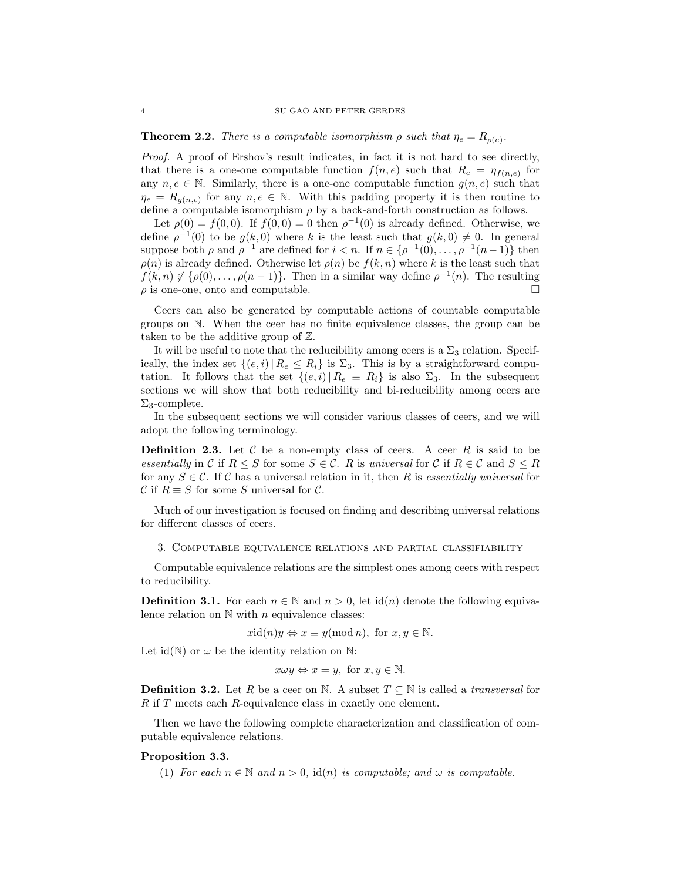**Theorem 2.2.** There is a computable isomorphism  $\rho$  such that  $\eta_e = R_{\rho(e)}$ .

Proof. A proof of Ershov's result indicates, in fact it is not hard to see directly, that there is a one-one computable function  $f(n,e)$  such that  $R_e = \eta_{f(n,e)}$  for any  $n, e \in \mathbb{N}$ . Similarly, there is a one-one computable function  $g(n, e)$  such that  $\eta_e = R_{g(n,e)}$  for any  $n, e \in \mathbb{N}$ . With this padding property it is then routine to define a computable isomorphism  $\rho$  by a back-and-forth construction as follows.

Let  $\rho(0) = f(0,0)$ . If  $f(0,0) = 0$  then  $\rho^{-1}(0)$  is already defined. Otherwise, we define  $\rho^{-1}(0)$  to be  $g(k, 0)$  where k is the least such that  $g(k, 0) \neq 0$ . In general suppose both  $\rho$  and  $\rho^{-1}$  are defined for  $i < n$ . If  $n \in {\rho^{-1}(0), \ldots, \rho^{-1}(n-1)}$  then  $\rho(n)$  is already defined. Otherwise let  $\rho(n)$  be  $f(k, n)$  where k is the least such that  $f(k,n) \notin {\rho}(0), \ldots, \rho(n-1)$ . Then in a similar way define  $\rho^{-1}(n)$ . The resulting  $\rho$  is one-one, onto and computable.

Ceers can also be generated by computable actions of countable computable groups on N. When the ceer has no finite equivalence classes, the group can be taken to be the additive group of Z.

It will be useful to note that the reducibility among ceers is a  $\Sigma_3$  relation. Specifically, the index set  $\{(e, i) | R_e \leq R_i\}$  is  $\Sigma_3$ . This is by a straightforward computation. It follows that the set  $\{(e, i) | R_e \equiv R_i\}$  is also  $\Sigma_3$ . In the subsequent sections we will show that both reducibility and bi-reducibility among ceers are  $\Sigma_3$ -complete.

In the subsequent sections we will consider various classes of ceers, and we will adopt the following terminology.

**Definition 2.3.** Let  $\mathcal{C}$  be a non-empty class of ceers. A ceer R is said to be essentially in C if  $R \leq S$  for some  $S \in \mathcal{C}$ . R is universal for C if  $R \in \mathcal{C}$  and  $S \leq R$ for any  $S \in \mathcal{C}$ . If C has a universal relation in it, then R is essentially universal for C if  $R \equiv S$  for some S universal for C.

Much of our investigation is focused on finding and describing universal relations for different classes of ceers.

<span id="page-3-0"></span>3. Computable equivalence relations and partial classifiability

Computable equivalence relations are the simplest ones among ceers with respect to reducibility.

**Definition 3.1.** For each  $n \in \mathbb{N}$  and  $n > 0$ , let  $\text{id}(n)$  denote the following equivalence relation on  $\mathbb N$  with *n* equivalence classes:

$$
x \mathrm{id}(n) y \Leftrightarrow x \equiv y(\bmod n), \text{ for } x, y \in \mathbb{N}.
$$

Let  $\mathrm{id}(\mathbb{N})$  or  $\omega$  be the identity relation on  $\mathbb{N}$ :

$$
x \omega y \Leftrightarrow x = y, \text{ for } x, y \in \mathbb{N}.
$$

**Definition 3.2.** Let R be a ceer on N. A subset  $T \subseteq N$  is called a *transversal* for R if T meets each R-equivalence class in exactly one element.

Then we have the following complete characterization and classification of computable equivalence relations.

#### Proposition 3.3.

(1) For each  $n \in \mathbb{N}$  and  $n > 0$ ,  $\text{id}(n)$  is computable; and  $\omega$  is computable.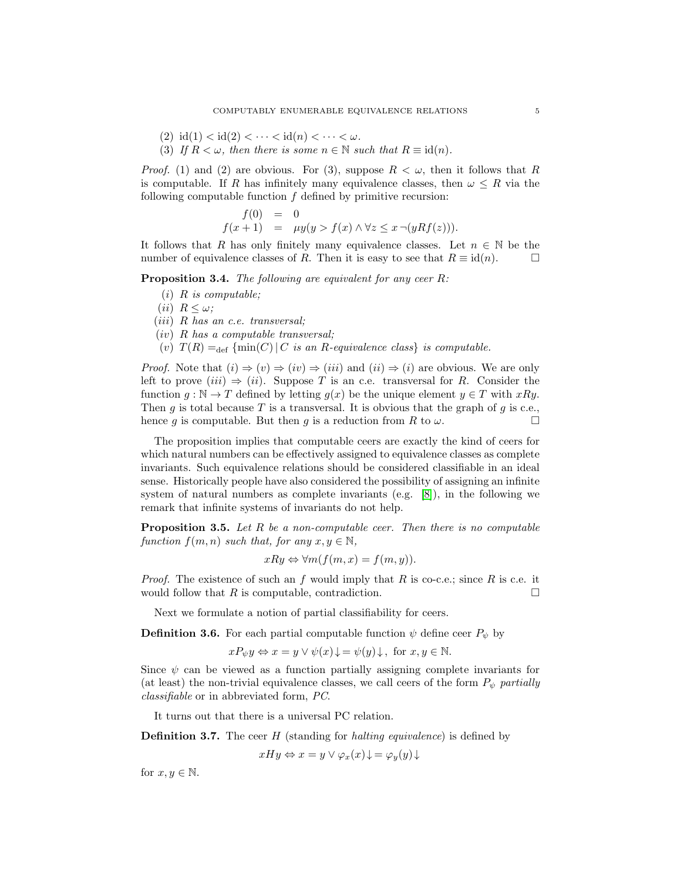- <span id="page-4-0"></span>(2)  $\mathrm{id}(1) < \mathrm{id}(2) < \cdots < \mathrm{id}(n) < \cdots < \omega$ .
- (3) If  $R < \omega$ , then there is some  $n \in \mathbb{N}$  such that  $R \equiv id(n)$ .

*Proof.* (1) and (2) are obvious. For (3), suppose  $R < \omega$ , then it follows that R is computable. If R has infinitely many equivalence classes, then  $\omega \leq R$  via the following computable function f defined by primitive recursion:

$$
f(0) = 0
$$
  

$$
f(x+1) = \mu y(y > f(x) \land \forall z \leq x \neg (yRf(z))).
$$

It follows that R has only finitely many equivalence classes. Let  $n \in \mathbb{N}$  be the number of equivalence classes of R. Then it is easy to see that  $R \equiv id(n)$ .

**Proposition 3.4.** The following are equivalent for any ceer  $R$ :

 $(i)$  R is computable;

(*ii*)  $R \leq \omega$ ;

(iii) R has an c.e. transversal;

- $(iv)$  R has a computable transversal;
- (v)  $T(R) =_{def} \{min(C) | C \text{ is an } R$ -equivalence class is computable.

*Proof.* Note that  $(i) \Rightarrow (v) \Rightarrow (iv) \Rightarrow (iii)$  and  $(ii) \Rightarrow (i)$  are obvious. We are only left to prove  $(iii) \Rightarrow (ii)$ . Suppose T is an c.e. transversal for R. Consider the function  $g : \mathbb{N} \to T$  defined by letting  $g(x)$  be the unique element  $y \in T$  with  $xRy$ . Then q is total because T is a transversal. It is obvious that the graph of q is c.e., hence g is computable. But then g is a reduction from R to  $\omega$ .

The proposition implies that computable ceers are exactly the kind of ceers for which natural numbers can be effectively assigned to equivalence classes as complete invariants. Such equivalence relations should be considered classifiable in an ideal sense. Historically people have also considered the possibility of assigning an infinite system of natural numbers as complete invariants  $(e.g. [8])$  $(e.g. [8])$  $(e.g. [8])$ , in the following we remark that infinite systems of invariants do not help.

**Proposition 3.5.** Let  $R$  be a non-computable ceer. Then there is no computable function  $f(m, n)$  such that, for any  $x, y \in \mathbb{N}$ ,

$$
xRy \Leftrightarrow \forall m(f(m, x) = f(m, y)).
$$

*Proof.* The existence of such an f would imply that R is co-c.e.; since R is c.e. it would follow that R is computable, contradiction.  $\square$ 

Next we formulate a notion of partial classifiability for ceers.

**Definition 3.6.** For each partial computable function  $\psi$  define ceer  $P_{\psi}$  by

$$
xP_{\psi}y \Leftrightarrow x = y \lor \psi(x) \downarrow = \psi(y) \downarrow, \text{ for } x, y \in \mathbb{N}.
$$

Since  $\psi$  can be viewed as a function partially assigning complete invariants for (at least) the non-trivial equivalence classes, we call ceers of the form  $P_{\psi}$  partially classifiable or in abbreviated form, PC.

It turns out that there is a universal PC relation.

**Definition 3.7.** The ceer H (standing for *halting equivalence*) is defined by

$$
xHy \Leftrightarrow x = y \lor \varphi_x(x) \downarrow = \varphi_y(y) \downarrow
$$

for  $x, y \in \mathbb{N}$ .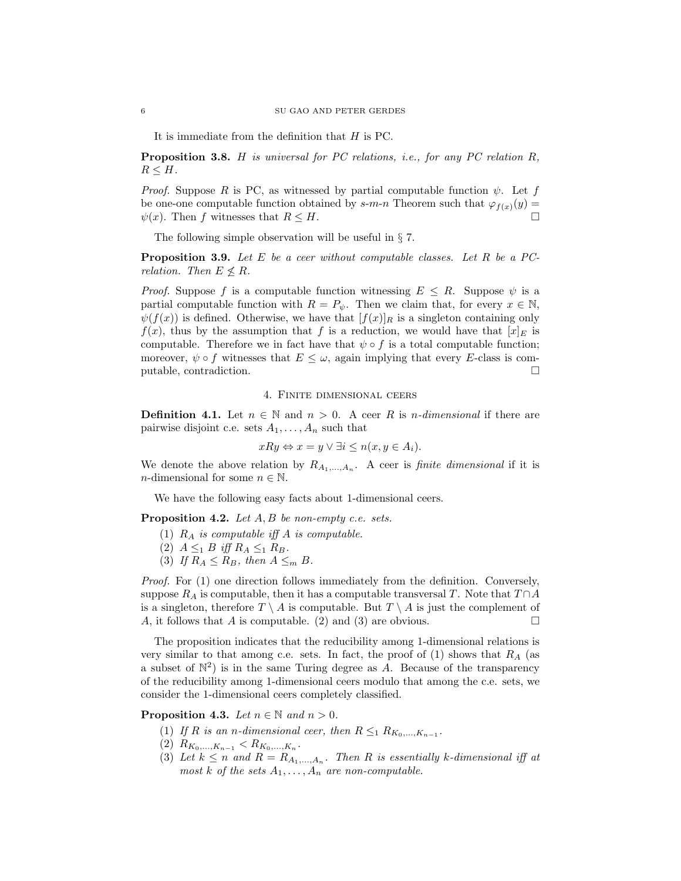It is immediate from the definition that H is PC.

**Proposition 3.8.** H is universal for PC relations, i.e., for any PC relation R,  $R \leq H$ .

*Proof.* Suppose R is PC, as witnessed by partial computable function  $\psi$ . Let f be one-one computable function obtained by s-m-n Theorem such that  $\varphi_{f(x)}(y) =$  $\psi(x)$ . Then f witnesses that  $R \leq H$ .

The following simple observation will be useful in § 7.

**Proposition 3.9.** Let  $E$  be a ceer without computable classes. Let  $R$  be a PCrelation. Then  $E \nleq R$ .

*Proof.* Suppose f is a computable function witnessing  $E \leq R$ . Suppose  $\psi$  is a partial computable function with  $R = P_{\psi}$ . Then we claim that, for every  $x \in \mathbb{N}$ ,  $\psi(f(x))$  is defined. Otherwise, we have that  $[f(x)]_R$  is a singleton containing only  $f(x)$ , thus by the assumption that f is a reduction, we would have that  $[x]_E$  is computable. Therefore we in fact have that  $\psi \circ f$  is a total computable function; moreover,  $\psi \circ f$  witnesses that  $E \leq \omega$ , again implying that every E-class is computable, contradiction.

## 4. Finite dimensional ceers

<span id="page-5-0"></span>**Definition 4.1.** Let  $n \in \mathbb{N}$  and  $n > 0$ . A ceer R is *n*-dimensional if there are pairwise disjoint c.e. sets  $A_1, \ldots, A_n$  such that

$$
xRy \Leftrightarrow x = y \lor \exists i \le n(x, y \in A_i).
$$

We denote the above relation by  $R_{A_1,...,A_n}$ . A ceer is *finite dimensional* if it is *n*-dimensional for some  $n \in \mathbb{N}$ .

We have the following easy facts about 1-dimensional ceers.

**Proposition 4.2.** Let  $A, B$  be non-empty c.e. sets.

- (1)  $R_A$  is computable iff A is computable.
- (2)  $A \leq_1 B$  iff  $R_A \leq_1 R_B$ .
- (3) If  $R_A \leq R_B$ , then  $A \leq_m B$ .

Proof. For (1) one direction follows immediately from the definition. Conversely, suppose  $R_A$  is computable, then it has a computable transversal T. Note that  $T \cap A$ is a singleton, therefore  $T \setminus A$  is computable. But  $T \setminus A$  is just the complement of A, it follows that A is computable. (2) and (3) are obvious.  $\square$ 

The proposition indicates that the reducibility among 1-dimensional relations is very similar to that among c.e. sets. In fact, the proof of  $(1)$  shows that  $R_A$  (as a subset of  $\mathbb{N}^2$ ) is in the same Turing degree as A. Because of the transparency of the reducibility among 1-dimensional ceers modulo that among the c.e. sets, we consider the 1-dimensional ceers completely classified.

**Proposition 4.3.** Let  $n \in \mathbb{N}$  and  $n > 0$ .

- (1) If R is an n-dimensional ceer, then  $R \leq_1 R_{K_0,\ldots,K_{n-1}}$ .
- (2)  $R_{K_0,\ldots,K_{n-1}} < R_{K_0,\ldots,K_n}$ .
- (3) Let  $k \leq n$  and  $R = R_{A_1,...,A_n}$ . Then R is essentially k-dimensional iff at most k of the sets  $A_1, \ldots, A_n$  are non-computable.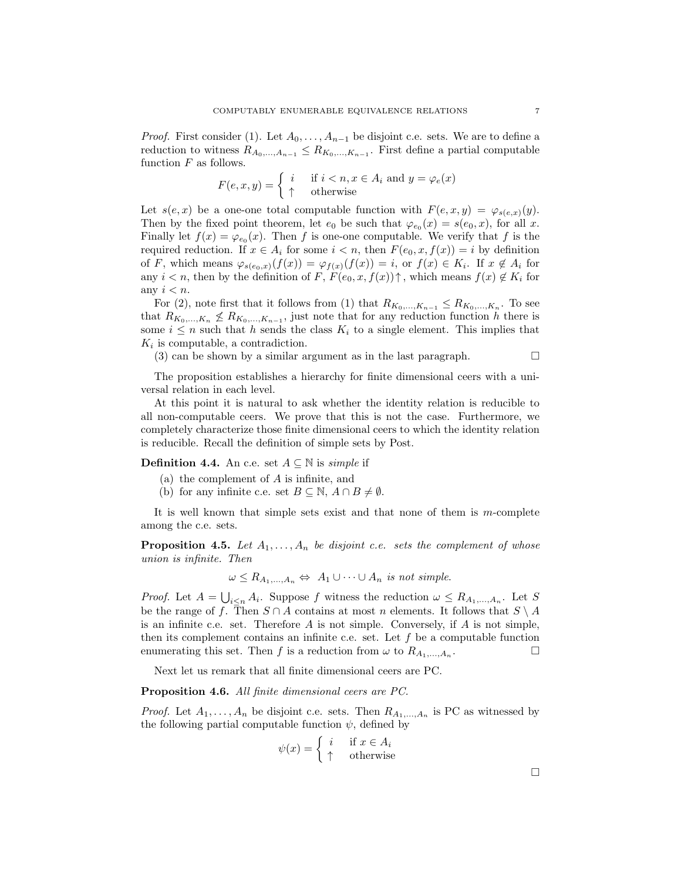*Proof.* First consider (1). Let  $A_0, \ldots, A_{n-1}$  be disjoint c.e. sets. We are to define a reduction to witness  $R_{A_0,...,A_{n-1}} \leq R_{K_0,...,K_{n-1}}$ . First define a partial computable function  $F$  as follows.

$$
F(e, x, y) = \begin{cases} i & \text{if } i < n, x \in A_i \text{ and } y = \varphi_e(x) \\ \uparrow & \text{otherwise} \end{cases}
$$

Let  $s(e, x)$  be a one-one total computable function with  $F(e, x, y) = \varphi_{s(e, x)}(y)$ . Then by the fixed point theorem, let  $e_0$  be such that  $\varphi_{e_0}(x) = s(e_0, x)$ , for all x. Finally let  $f(x) = \varphi_{e_0}(x)$ . Then f is one-one computable. We verify that f is the required reduction. If  $x \in A_i$  for some  $i < n$ , then  $F(e_0, x, f(x)) = i$  by definition of F, which means  $\varphi_{s(e_0,x)}(f(x)) = \varphi_{f(x)}(f(x)) = i$ , or  $f(x) \in K_i$ . If  $x \notin A_i$  for any  $i < n$ , then by the definition of F,  $F(e_0, x, f(x))$ <sup> $\uparrow$ </sup>, which means  $f(x) \notin K_i$  for any  $i < n$ .

For (2), note first that it follows from (1) that  $R_{K_0,...,K_{n-1}} \leq R_{K_0,...,K_n}$ . To see that  $R_{K_0,...,K_n} \nleq R_{K_0,...,K_{n-1}}$ , just note that for any reduction function h there is some  $i \leq n$  such that h sends the class  $K_i$  to a single element. This implies that  $K_i$  is computable, a contradiction.

(3) can be shown by a similar argument as in the last paragraph.  $\square$ 

The proposition establishes a hierarchy for finite dimensional ceers with a universal relation in each level.

At this point it is natural to ask whether the identity relation is reducible to all non-computable ceers. We prove that this is not the case. Furthermore, we completely characterize those finite dimensional ceers to which the identity relation is reducible. Recall the definition of simple sets by Post.

**Definition 4.4.** An c.e. set  $A \subseteq \mathbb{N}$  is *simple* if

- (a) the complement of A is infinite, and
- (b) for any infinite c.e. set  $B \subseteq \mathbb{N}, A \cap B \neq \emptyset$ .

It is well known that simple sets exist and that none of them is  $m$ -complete among the c.e. sets.

**Proposition 4.5.** Let  $A_1, \ldots, A_n$  be disjoint c.e. sets the complement of whose union is infinite. Then

 $\omega \leq R_{A_1,...,A_n} \Leftrightarrow A_1 \cup \cdots \cup A_n$  is not simple.

*Proof.* Let  $A = \bigcup_{i \leq n} A_i$ . Suppose f witness the reduction  $\omega \leq R_{A_1,...,A_n}$ . Let S be the range of f. Then  $S \cap A$  contains at most n elements. It follows that  $S \setminus A$ is an infinite c.e. set. Therefore  $A$  is not simple. Conversely, if  $A$  is not simple, then its complement contains an infinite c.e. set. Let  $f$  be a computable function enumerating this set. Then f is a reduction from  $\omega$  to  $R_{A_1,...,A_n}$ . . — Первый профессиональный стандарт и профессиональный стандарт и профессиональный стандарт и профессиональны<br>В собстановки профессиональный стандарт и профессиональный стандарт и профессиональный стандарт и профессионал

Next let us remark that all finite dimensional ceers are PC.

Proposition 4.6. All finite dimensional ceers are PC.

*Proof.* Let  $A_1, \ldots, A_n$  be disjoint c.e. sets. Then  $R_{A_1, \ldots, A_n}$  is PC as witnessed by the following partial computable function  $\psi$ , defined by

$$
\psi(x) = \begin{cases} i & \text{if } x \in A_i \\ \uparrow & \text{otherwise} \end{cases}
$$

 $\Box$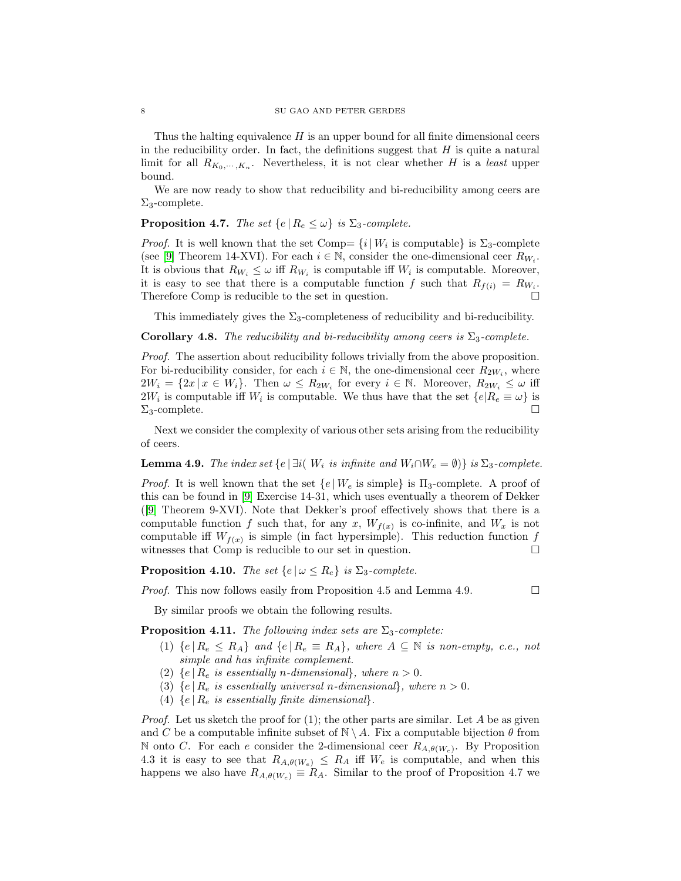<span id="page-7-0"></span>Thus the halting equivalence  $H$  is an upper bound for all finite dimensional ceers in the reducibility order. In fact, the definitions suggest that  $H$  is quite a natural limit for all  $R_{K_0,\dots,K_n}$ . Nevertheless, it is not clear whether H is a least upper bound.

We are now ready to show that reducibility and bi-reducibility among ceers are  $\Sigma_3$ -complete.

**Proposition 4.7.** The set  $\{e \mid R_e \leq \omega\}$  is  $\Sigma_3$ -complete.

*Proof.* It is well known that the set Comp=  $\{i | W_i \text{ is computable}\}$  is  $\Sigma_3$ -complete (see [\[9\]](#page-25-9) Theorem 14-XVI). For each  $i \in \mathbb{N}$ , consider the one-dimensional ceer  $R_{W_i}$ . It is obvious that  $R_{W_i} \leq \omega$  iff  $R_{W_i}$  is computable iff  $W_i$  is computable. Moreover, it is easy to see that there is a computable function f such that  $R_{f(i)} = R_{W_i}$ . Therefore Comp is reducible to the set in question.

This immediately gives the  $\Sigma_3$ -completeness of reducibility and bi-reducibility.

Corollary 4.8. The reducibility and bi-reducibility among ceers is  $\Sigma_3$ -complete.

Proof. The assertion about reducibility follows trivially from the above proposition. For bi-reducibility consider, for each  $i \in \mathbb{N}$ , the one-dimensional ceer  $R_{2W_i}$ , where  $2W_i = \{2x \mid x \in W_i\}.$  Then  $\omega \leq R_{2W_i}$  for every  $i \in \mathbb{N}$ . Moreover,  $R_{2W_i} \leq \omega$  iff  $2W_i$  is computable iff  $W_i$  is computable. We thus have that the set  $\{e|R_e \equiv \omega\}$  is  $\Sigma_3$ -complete.

Next we consider the complexity of various other sets arising from the reducibility of ceers.

**Lemma 4.9.** The index set  $\{e \mid \exists i(\ W_i \text{ is infinite and } W_i \cap W_e = \emptyset)\}$  is  $\Sigma_3$ -complete.

*Proof.* It is well known that the set  $\{e \mid W_e \text{ is simple}\}\$ is  $\Pi_3$ -complete. A proof of this can be found in [\[9\]](#page-25-9) Exercise 14-31, which uses eventually a theorem of Dekker ([\[9\]](#page-25-9) Theorem 9-XVI). Note that Dekker's proof effectively shows that there is a computable function f such that, for any x,  $W_{f(x)}$  is co-infinite, and  $W_x$  is not computable if  $W_{f(x)}$  is simple (in fact hypersimple). This reduction function f witnesses that Comp is reducible to our set in question.  $\Box$ 

**Proposition 4.10.** The set  $\{e | \omega \le R_e\}$  is  $\Sigma_3$ -complete.

*Proof.* This now follows easily from Proposition 4.5 and Lemma 4.9.

By similar proofs we obtain the following results.

**Proposition 4.11.** The following index sets are  $\Sigma_3$ -complete:

- (1)  $\{e \mid R_e \leq R_A\}$  and  $\{e \mid R_e \equiv R_A\}$ , where  $A \subseteq \mathbb{N}$  is non-empty, c.e., not simple and has infinite complement.
- (2)  $\{e \mid R_e \text{ is essentially } n\text{-dimensional}\}, \text{ where } n > 0.$
- (3)  $\{e \mid R_e \text{ is essentially universal } n\text{-dimensional}\}, \text{ where } n > 0.$
- (4)  $\{e \mid R_e \text{ is essentially finite dimensional}\}.$

*Proof.* Let us sketch the proof for  $(1)$ ; the other parts are similar. Let A be as given and C be a computable infinite subset of  $N \setminus A$ . Fix a computable bijection  $\theta$  from N onto C. For each e consider the 2-dimensional ceer  $R_{A,\theta(W_e)}$ . By Proposition 4.3 it is easy to see that  $R_{A,\theta(W_e)} \leq R_A$  iff  $W_e$  is computable, and when this happens we also have  $R_{A,\theta(W_e)} \equiv R_A$ . Similar to the proof of Proposition 4.7 we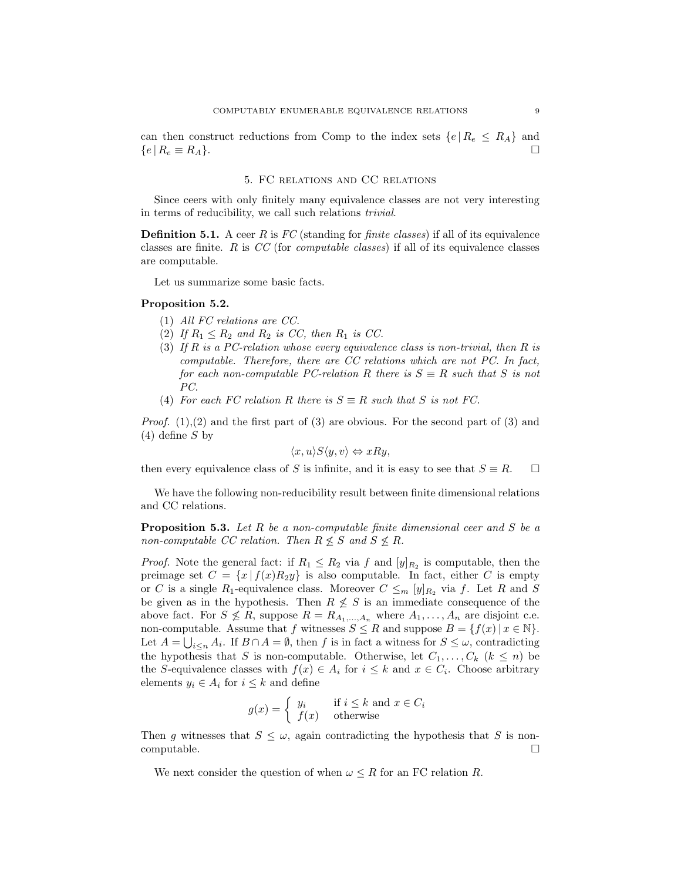can then construct reductions from Comp to the index sets  $\{e | R_e \leq R_A\}$  and  ${e \mid R_e \equiv R_A}.$ 

## 5. FC relations and CC relations

<span id="page-8-0"></span>Since ceers with only finitely many equivalence classes are not very interesting in terms of reducibility, we call such relations trivial.

**Definition 5.1.** A ceer R is  $FC$  (standing for *finite classes*) if all of its equivalence classes are finite. R is  $CC$  (for *computable classes*) if all of its equivalence classes are computable.

Let us summarize some basic facts.

#### Proposition 5.2.

- (1) All FC relations are CC.
- (2) If  $R_1 \leq R_2$  and  $R_2$  is CC, then  $R_1$  is CC.
- (3) If  $R$  is a PC-relation whose every equivalence class is non-trivial, then  $R$  is computable. Therefore, there are CC relations which are not PC. In fact, for each non-computable PC-relation R there is  $S \equiv R$  such that S is not PC.
- (4) For each FC relation R there is  $S \equiv R$  such that S is not FC.

*Proof.*  $(1),(2)$  and the first part of  $(3)$  are obvious. For the second part of  $(3)$  and  $(4)$  define S by

$$
\langle x, u \rangle S \langle y, v \rangle \Leftrightarrow xRy,
$$

then every equivalence class of S is infinite, and it is easy to see that  $S \equiv R$ .  $\Box$ 

We have the following non-reducibility result between finite dimensional relations and CC relations.

**Proposition 5.3.** Let R be a non-computable finite dimensional ceer and S be a non-computable CC relation. Then  $R \nleq S$  and  $S \nleq R$ .

*Proof.* Note the general fact: if  $R_1 \leq R_2$  via f and  $[y]_{R_2}$  is computable, then the preimage set  $C = \{x \mid f(x)R_2y\}$  is also computable. In fact, either C is empty or C is a single R<sub>1</sub>-equivalence class. Moreover  $C \leq_m [y]_{R_2}$  via f. Let R and S be given as in the hypothesis. Then  $R \nleq S$  is an immediate consequence of the above fact. For  $S \nleq R$ , suppose  $R = R_{A_1,...,A_n}$  where  $A_1,...,A_n$  are disjoint c.e. non-computable. Assume that f witnesses  $S \leq R$  and suppose  $B = \{f(x) | x \in \mathbb{N}\}.$ Let  $A = \bigcup_{i \leq n} A_i$ . If  $B \cap A = \emptyset$ , then f is in fact a witness for  $S \leq \omega$ , contradicting the hypothesis that S is non-computable. Otherwise, let  $C_1, \ldots, C_k$   $(k \leq n)$  be the S-equivalence classes with  $f(x) \in A_i$  for  $i \leq k$  and  $x \in C_i$ . Choose arbitrary elements  $y_i \in A_i$  for  $i \leq k$  and define

$$
g(x) = \begin{cases} y_i & \text{if } i \le k \text{ and } x \in C_i \\ f(x) & \text{otherwise} \end{cases}
$$

Then g witnesses that  $S \leq \omega$ , again contradicting the hypothesis that S is non- $\Box$  computable.

We next consider the question of when  $\omega \leq R$  for an FC relation R.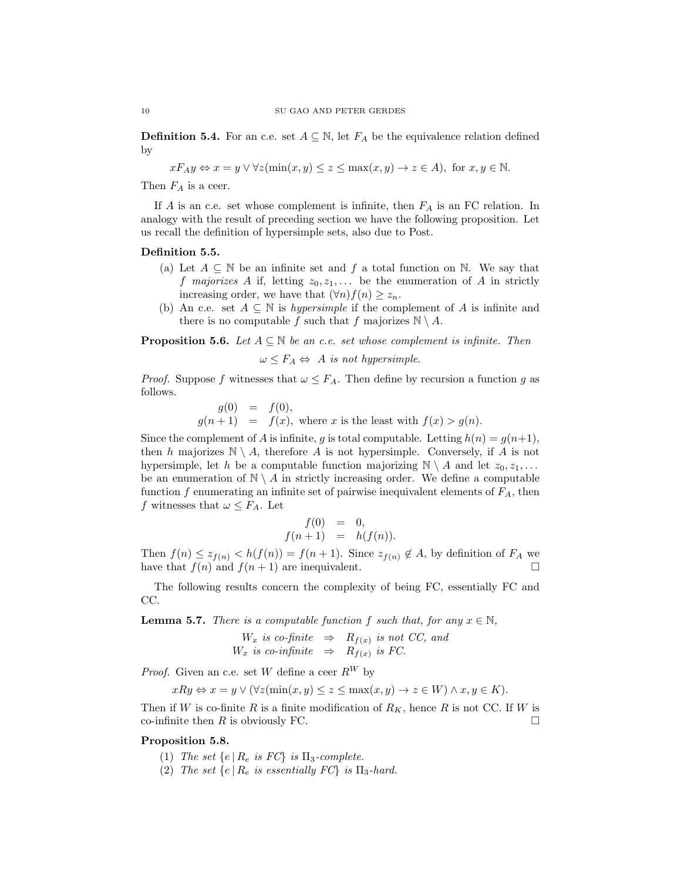**Definition 5.4.** For an c.e. set  $A \subseteq \mathbb{N}$ , let  $F_A$  be the equivalence relation defined by

$$
xF_Ay \Leftrightarrow x = y \lor \forall z (\min(x, y) \le z \le \max(x, y) \to z \in A), \text{ for } x, y \in \mathbb{N}.
$$

Then  $F_A$  is a ceer.

If  $A$  is an c.e. set whose complement is infinite, then  $F_A$  is an FC relation. In analogy with the result of preceding section we have the following proposition. Let us recall the definition of hypersimple sets, also due to Post.

## Definition 5.5.

- (a) Let  $A \subseteq \mathbb{N}$  be an infinite set and f a total function on  $\mathbb{N}$ . We say that f majorizes A if, letting  $z_0, z_1, \ldots$  be the enumeration of A in strictly increasing order, we have that  $(\forall n) f(n) \geq z_n$ .
- (b) An c.e. set  $A \subseteq \mathbb{N}$  is *hypersimple* if the complement of A is infinite and there is no computable f such that f majorizes  $\mathbb{N} \setminus A$ .

**Proposition 5.6.** Let  $A \subseteq \mathbb{N}$  be an c.e. set whose complement is infinite. Then

 $\omega \leq F_A \Leftrightarrow A$  is not hypersimple.

*Proof.* Suppose f witnesses that  $\omega \leq F_A$ . Then define by recursion a function g as follows.

$$
g(0) = f(0),
$$
  
 
$$
g(n+1) = f(x),
$$
 where *x* is the least with  $f(x) > g(n)$ .

Since the complement of A is infinite, g is total computable. Letting  $h(n) = g(n+1)$ , then h majorizes  $\mathbb{N} \setminus A$ , therefore A is not hypersimple. Conversely, if A is not hypersimple, let h be a computable function majorizing  $\mathbb{N} \setminus A$  and let  $z_0, z_1, \ldots$ be an enumeration of  $N \setminus A$  in strictly increasing order. We define a computable function f enumerating an infinite set of pairwise inequivalent elements of  $F_A$ , then f witnesses that  $\omega \leq F_A$ . Let

$$
f(0) = 0, \n f(n+1) = h(f(n)).
$$

Then  $f(n) \leq z_{f(n)} < h(f(n)) = f(n+1)$ . Since  $z_{f(n)} \notin A$ , by definition of  $F_A$  we have that  $f(n)$  and  $f(n + 1)$  are inequivalent.

The following results concern the complexity of being FC, essentially FC and CC.

**Lemma 5.7.** There is a computable function f such that, for any  $x \in \mathbb{N}$ ,

$$
W_x
$$
 is co-finite  $\Rightarrow$   $R_{f(x)}$  is not CC, and  
 $W_x$  is co-infinite  $\Rightarrow$   $R_{f(x)}$  is FC.

*Proof.* Given an c.e. set W define a ceer  $R^W$  by

$$
xRy \Leftrightarrow x = y \lor (\forall z (\min(x, y) \le z \le \max(x, y) \to z \in W) \land x, y \in K).
$$

Then if W is co-finite R is a finite modification of  $R_K$ , hence R is not CC. If W is co-infinite then R is obviously FC.  $\Box$ 

# Proposition 5.8.

- (1) The set  $\{e \mid R_e \text{ is } FC\}$  is  $\Pi_3$ -complete.
- (2) The set  $\{e \mid R_e \text{ is essentially } FC\}$  is  $\Pi_3$ -hard.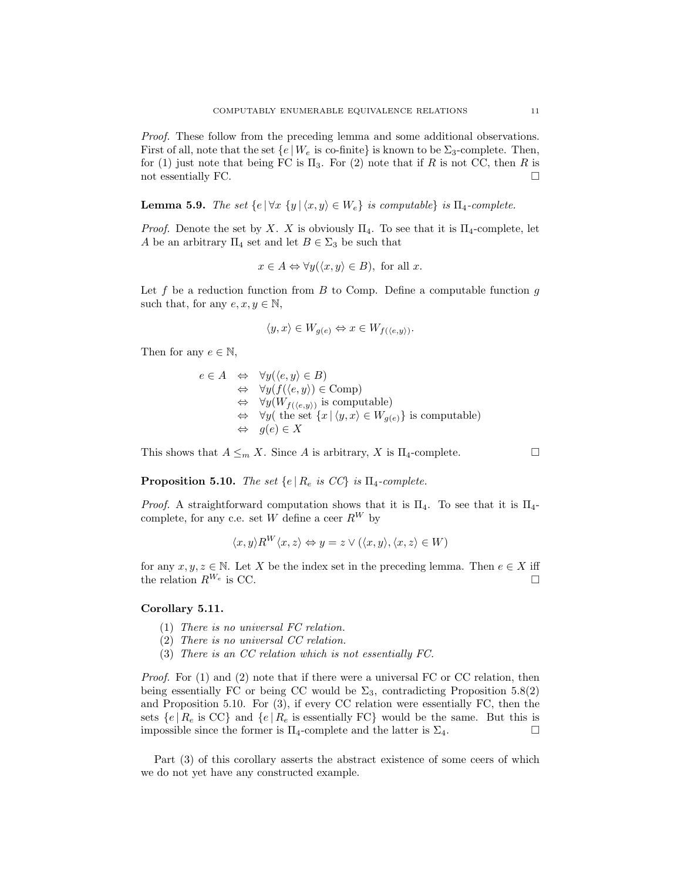Proof. These follow from the preceding lemma and some additional observations. First of all, note that the set  $\{e \mid W_e \text{ is co-finite}\}$  is known to be  $\Sigma_3$ -complete. Then, for (1) just note that being FC is  $\Pi_3$ . For (2) note that if R is not CC, then R is not essentially FC.

Lemma 5.9. The set  $\{e \mid \forall x \{y \mid \langle x, y \rangle \in W_e\}$  is computable} is  $\Pi_4$ -complete.

*Proof.* Denote the set by X. X is obviously  $\Pi_4$ . To see that it is  $\Pi_4$ -complete, let A be an arbitrary  $\Pi_4$  set and let  $B \in \Sigma_3$  be such that

$$
x \in A \Leftrightarrow \forall y(\langle x, y \rangle \in B), \text{ for all } x.
$$

Let f be a reduction function from B to Comp. Define a computable function  $q$ such that, for any  $e, x, y \in \mathbb{N}$ ,

$$
\langle y, x \rangle \in W_{g(e)} \Leftrightarrow x \in W_{f(\langle e, y \rangle)}.
$$

Then for any  $e \in \mathbb{N}$ ,

$$
e \in A \Leftrightarrow \forall y (\langle e, y \rangle \in B)
$$
  
\n
$$
\Leftrightarrow \forall y (f (\langle e, y \rangle) \in \text{Comp})
$$
  
\n
$$
\Leftrightarrow \forall y (W_{f (\langle e, y \rangle)} \text{ is computable})
$$
  
\n
$$
\Leftrightarrow \forall y ( \text{ the set } \{x \mid \langle y, x \rangle \in W_{g(e)} \} \text{ is computable})
$$
  
\n
$$
\Leftrightarrow g(e) \in X
$$

This shows that  $A \leq_m X$ . Since A is arbitrary, X is  $\Pi_4$ -complete.

**Proposition 5.10.** The set  $\{e \mid R_e \text{ is CC}\}\$ is  $\Pi_4\text{-complete.}$ 

*Proof.* A straightforward computation shows that it is  $\Pi_4$ . To see that it is  $\Pi_4$ complete, for any c.e. set W define a ceer  $R^W$  by

$$
\langle x, y \rangle R^W \langle x, z \rangle \Leftrightarrow y = z \vee (\langle x, y \rangle, \langle x, z \rangle \in W)
$$

for any  $x, y, z \in \mathbb{N}$ . Let X be the index set in the preceding lemma. Then  $e \in X$  iff the relation  $R^{W_e}$  is CC. is CC.

## Corollary 5.11.

- (1) There is no universal FC relation.
- (2) There is no universal CC relation.
- (3) There is an CC relation which is not essentially FC.

*Proof.* For  $(1)$  and  $(2)$  note that if there were a universal FC or CC relation, then being essentially FC or being CC would be  $\Sigma_3$ , contradicting Proposition 5.8(2) and Proposition 5.10. For (3), if every CC relation were essentially FC, then the sets  $\{e \mid R_e \text{ is CC}\}\$ and  $\{e \mid R_e \text{ is essentially FC}\}\$  would be the same. But this is impossible since the former is  $\Pi_4$ -complete and the latter is  $\Sigma_4$ .

Part (3) of this corollary asserts the abstract existence of some ceers of which we do not yet have any constructed example.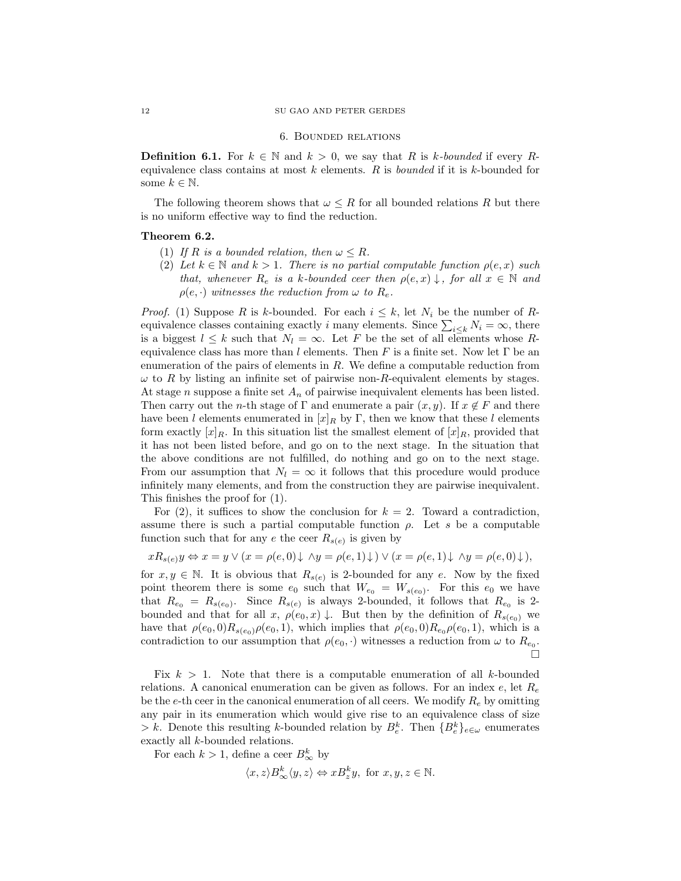#### <span id="page-11-0"></span>12 SU GAO AND PETER GERDES

#### 6. Bounded relations

**Definition 6.1.** For  $k \in \mathbb{N}$  and  $k > 0$ , we say that R is k-bounded if every Requivalence class contains at most  $k$  elements.  $R$  is *bounded* if it is  $k$ -bounded for some  $k \in \mathbb{N}$ .

The following theorem shows that  $\omega \leq R$  for all bounded relations R but there is no uniform effective way to find the reduction.

#### Theorem 6.2.

- (1) If R is a bounded relation, then  $\omega \leq R$ .
- (2) Let  $k \in \mathbb{N}$  and  $k > 1$ . There is no partial computable function  $\rho(e, x)$  such that, whenever  $R_e$  is a k-bounded ceer then  $\rho(e, x) \downarrow$ , for all  $x \in \mathbb{N}$  and  $\rho(e, \cdot)$  witnesses the reduction from  $\omega$  to  $R_e$ .

*Proof.* (1) Suppose R is k-bounded. For each  $i \leq k$ , let  $N_i$  be the number of Requivalence classes containing exactly i many elements. Since  $\sum_{i\leq k} N_i = \infty$ , there is a biggest  $l \leq k$  such that  $N_l = \infty$ . Let F be the set of all elements whose Requivalence class has more than l elements. Then F is a finite set. Now let  $\Gamma$  be an enumeration of the pairs of elements in  $R$ . We define a computable reduction from  $\omega$  to R by listing an infinite set of pairwise non-R-equivalent elements by stages. At stage n suppose a finite set  $A_n$  of pairwise inequivalent elements has been listed. Then carry out the *n*-th stage of  $\Gamma$  and enumerate a pair  $(x, y)$ . If  $x \notin F$  and there have been l elements enumerated in  $[x]_R$  by Γ, then we know that these l elements form exactly  $[x]_R$ . In this situation list the smallest element of  $[x]_R$ , provided that it has not been listed before, and go on to the next stage. In the situation that the above conditions are not fulfilled, do nothing and go on to the next stage. From our assumption that  $N_l = \infty$  it follows that this procedure would produce infinitely many elements, and from the construction they are pairwise inequivalent. This finishes the proof for (1).

For  $(2)$ , it suffices to show the conclusion for  $k = 2$ . Toward a contradiction, assume there is such a partial computable function  $\rho$ . Let s be a computable function such that for any e the ceer  $R_{s(e)}$  is given by

$$
xR_{s(e)}y \Leftrightarrow x = y \vee (x = \rho(e, 0) \downarrow \wedge y = \rho(e, 1) \downarrow) \vee (x = \rho(e, 1) \downarrow \wedge y = \rho(e, 0) \downarrow),
$$

for  $x, y \in \mathbb{N}$ . It is obvious that  $R_{s(e)}$  is 2-bounded for any e. Now by the fixed point theorem there is some  $e_0$  such that  $W_{e_0} = W_{s(e_0)}$ . For this  $e_0$  we have that  $R_{e_0} = R_{s(e_0)}$ . Since  $R_{s(e)}$  is always 2-bounded, it follows that  $R_{e_0}$  is 2bounded and that for all x,  $\rho(e_0, x) \downarrow$ . But then by the definition of  $R_{s(e_0)}$  we have that  $\rho(e_0, 0)R_{s(e_0)}\rho(e_0, 1)$ , which implies that  $\rho(e_0, 0)R_{e_0}\rho(e_0, 1)$ , which is a contradiction to our assumption that  $\rho(e_0, \cdot)$  witnesses a reduction from  $\omega$  to  $R_{e_0}$ .  $\Box$ 

Fix  $k > 1$ . Note that there is a computable enumeration of all k-bounded relations. A canonical enumeration can be given as follows. For an index  $e$ , let  $R_e$ be the e-th ceer in the canonical enumeration of all ceers. We modify  $R_e$  by omitting any pair in its enumeration which would give rise to an equivalence class of size > k. Denote this resulting k-bounded relation by  $B_e^k$ . Then  ${B_e^k}_{e \in \omega}$  enumerates exactly all k-bounded relations.

For each  $k > 1$ , define a ceer  $B_{\infty}^{k}$  by

$$
\langle x, z \rangle B_{\infty}^k \langle y, z \rangle \Leftrightarrow x B_z^k y, \text{ for } x, y, z \in \mathbb{N}.
$$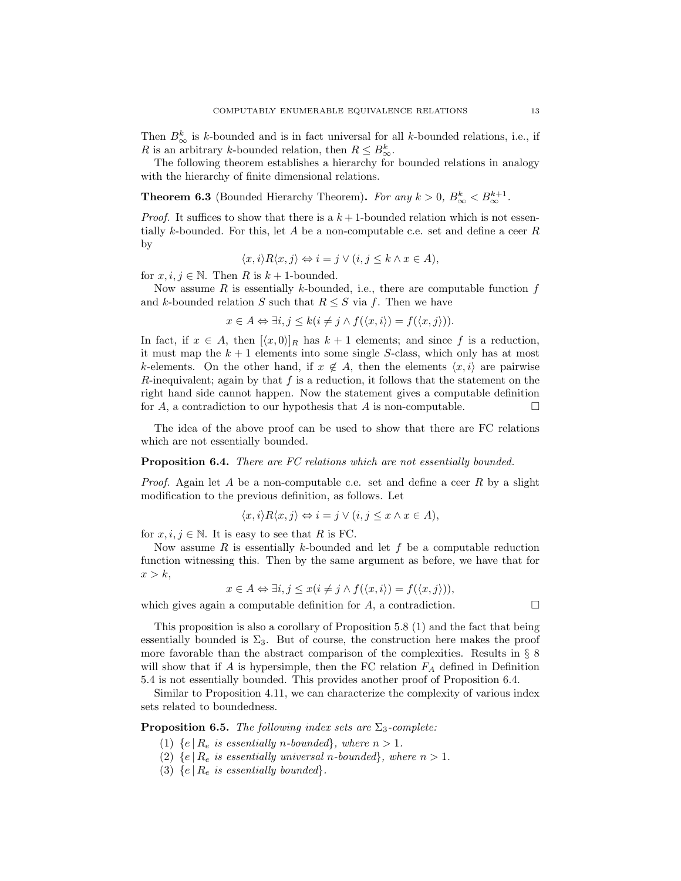Then  $B_{\infty}^{k}$  is k-bounded and is in fact universal for all k-bounded relations, i.e., if R is an arbitrary k-bounded relation, then  $R \leq B_{\infty}^k$ .

The following theorem establishes a hierarchy for bounded relations in analogy with the hierarchy of finite dimensional relations.

**Theorem 6.3** (Bounded Hierarchy Theorem). For any  $k > 0$ ,  $B_{\infty}^k < B_{\infty}^{k+1}$ .

*Proof.* It suffices to show that there is a  $k+1$ -bounded relation which is not essentially k-bounded. For this, let  $A$  be a non-computable c.e. set and define a ceer  $R$ by

$$
\langle x, i \rangle R \langle x, j \rangle \Leftrightarrow i = j \lor (i, j \le k \land x \in A),
$$

for  $x, i, j \in \mathbb{N}$ . Then R is  $k + 1$ -bounded.

Now assume  $R$  is essentially  $k$ -bounded, i.e., there are computable function  $f$ and k-bounded relation S such that  $R \leq S$  via f. Then we have

$$
x \in A \Leftrightarrow \exists i, j \le k (i \ne j \land f(\langle x, i \rangle) = f(\langle x, j \rangle)).
$$

In fact, if  $x \in A$ , then  $[\langle x, 0 \rangle]_R$  has  $k + 1$  elements; and since f is a reduction, it must map the  $k + 1$  elements into some single S-class, which only has at most k-elements. On the other hand, if  $x \notin A$ , then the elements  $\langle x, i \rangle$  are pairwise  $R$ -inequivalent; again by that  $f$  is a reduction, it follows that the statement on the right hand side cannot happen. Now the statement gives a computable definition for A, a contradiction to our hypothesis that A is non-computable.  $\Box$ 

The idea of the above proof can be used to show that there are FC relations which are not essentially bounded.

Proposition 6.4. There are FC relations which are not essentially bounded.

*Proof.* Again let A be a non-computable c.e. set and define a ceer R by a slight modification to the previous definition, as follows. Let

$$
\langle x, i \rangle R \langle x, j \rangle \Leftrightarrow i = j \lor (i, j \le x \land x \in A),
$$

for  $x, i, j \in \mathbb{N}$ . It is easy to see that R is FC.

Now assume  $R$  is essentially k-bounded and let  $f$  be a computable reduction function witnessing this. Then by the same argument as before, we have that for  $x > k$ ,

$$
x \in A \Leftrightarrow \exists i, j \le x (i \ne j \land f(\langle x, i \rangle) = f(\langle x, j \rangle)),
$$

which gives again a computable definition for  $A$ , a contradiction.  $\Box$ 

This proposition is also a corollary of Proposition 5.8 (1) and the fact that being essentially bounded is  $\Sigma_3$ . But of course, the construction here makes the proof more favorable than the abstract comparison of the complexities. Results in § 8 will show that if  $A$  is hypersimple, then the FC relation  $F_A$  defined in Definition 5.4 is not essentially bounded. This provides another proof of Proposition 6.4.

Similar to Proposition 4.11, we can characterize the complexity of various index sets related to boundedness.

**Proposition 6.5.** The following index sets are  $\Sigma_3$ -complete:

- (1)  $\{e \mid R_e \text{ is essentially } n\text{-bounded}\}, \text{ where } n > 1.$
- (2)  $\{e \mid R_e \text{ is essentially universal } n\text{-bounded}\}, \text{ where } n > 1.$
- (3)  $\{e \mid R_e \text{ is essentially bounded}\}.$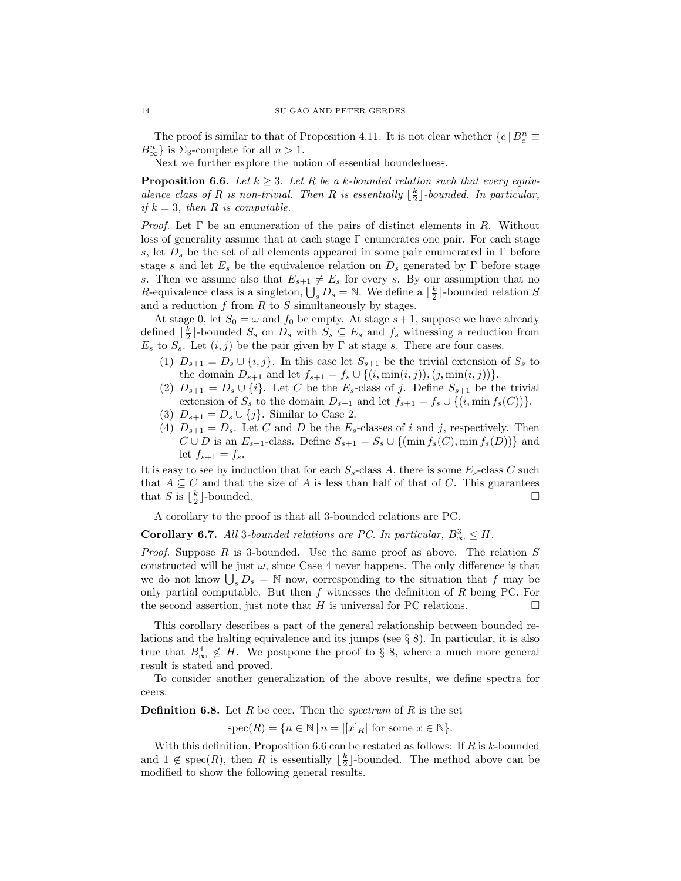The proof is similar to that of Proposition 4.11. It is not clear whether  $\{e \mid B_e^n \equiv$  $B_{\infty}^{n}$  is  $\Sigma_{3}$ -complete for all  $n > 1$ .

Next we further explore the notion of essential boundedness.

**Proposition 6.6.** Let  $k \geq 3$ . Let R be a k-bounded relation such that every equivalence class of R is non-trivial. Then R is essentially  $\lfloor \frac{k}{2} \rfloor$ -bounded. In particular, if  $k = 3$ , then R is computable.

*Proof.* Let  $\Gamma$  be an enumeration of the pairs of distinct elements in R. Without loss of generality assume that at each stage Γ enumerates one pair. For each stage s, let  $D_s$  be the set of all elements appeared in some pair enumerated in  $\Gamma$  before stage s and let  $E_s$  be the equivalence relation on  $D_s$  generated by  $\Gamma$  before stage s. Then we assume also that  $E_{s+1} \neq E_s$  for every s. By our assumption that no R-equivalence class is a singleton,  $\bigcup_s D_s = \mathbb{N}$ . We define a  $\lfloor \frac{k}{2} \rfloor$ -bounded relation S and a reduction  $f$  from  $R$  to  $S$  simultaneously by stages.

At stage 0, let  $S_0 = \omega$  and  $f_0$  be empty. At stage  $s+1$ , suppose we have already defined  $\lfloor \frac{k}{2} \rfloor$ -bounded  $S_s$  on  $D_s$  with  $S_s \subseteq E_s$  and  $f_s$  witnessing a reduction from  $E_s$  to  $S_s$ . Let  $(i, j)$  be the pair given by  $\Gamma$  at stage s. There are four cases.

- (1)  $D_{s+1} = D_s \cup \{i, j\}$ . In this case let  $S_{s+1}$  be the trivial extension of  $S_s$  to the domain  $D_{s+1}$  and let  $f_{s+1} = f_s \cup \{(i, \min(i, j)), (j, \min(i, j))\}.$
- (2)  $D_{s+1} = D_s \cup \{i\}$ . Let C be the  $E_s$ -class of j. Define  $S_{s+1}$  be the trivial extension of  $S_s$  to the domain  $D_{s+1}$  and let  $f_{s+1} = f_s \cup \{(i, \min f_s(C))\}.$
- (3)  $D_{s+1} = D_s \cup \{j\}$ . Similar to Case 2.
- (4)  $D_{s+1} = D_s$ . Let C and D be the  $E_s$ -classes of i and j, respectively. Then  $C \cup D$  is an  $E_{s+1}$ -class. Define  $S_{s+1} = S_s \cup \{(\min f_s(C), \min f_s(D))\}$  and let  $f_{s+1} = f_s$ .

It is easy to see by induction that for each  $S_s$ -class A, there is some  $E_s$ -class C such that  $A \subseteq C$  and that the size of A is less than half of that of C. This guarantees that S is  $\lfloor \frac{k}{2} \rfloor$ -bounded.

A corollary to the proof is that all 3-bounded relations are PC.

**Corollary 6.7.** All 3-bounded relations are PC. In particular,  $B_{\infty}^3 \leq H$ .

*Proof.* Suppose  $R$  is 3-bounded. Use the same proof as above. The relation  $S$ constructed will be just  $\omega$ , since Case 4 never happens. The only difference is that we do not know  $\bigcup_s D_s = \mathbb{N}$  now, corresponding to the situation that f may be only partial computable. But then  $f$  witnesses the definition of  $R$  being PC. For the second assertion, just note that  $H$  is universal for PC relations.

This corollary describes a part of the general relationship between bounded relations and the halting equivalence and its jumps (see § 8). In particular, it is also true that  $B_{\infty}^4 \nleq H$ . We postpone the proof to § 8, where a much more general result is stated and proved.

To consider another generalization of the above results, we define spectra for ceers.

**Definition 6.8.** Let  $R$  be ceer. Then the *spectrum* of  $R$  is the set

 $\operatorname{spec}(R) = \{n \in \mathbb{N} \mid n = |[x]_R| \text{ for some } x \in \mathbb{N}\}.$ 

With this definition, Proposition 6.6 can be restated as follows: If  $R$  is  $k$ -bounded and  $1 \notin \text{spec}(R)$ , then R is essentially  $\lfloor \frac{k}{2} \rfloor$ -bounded. The method above can be modified to show the following general results.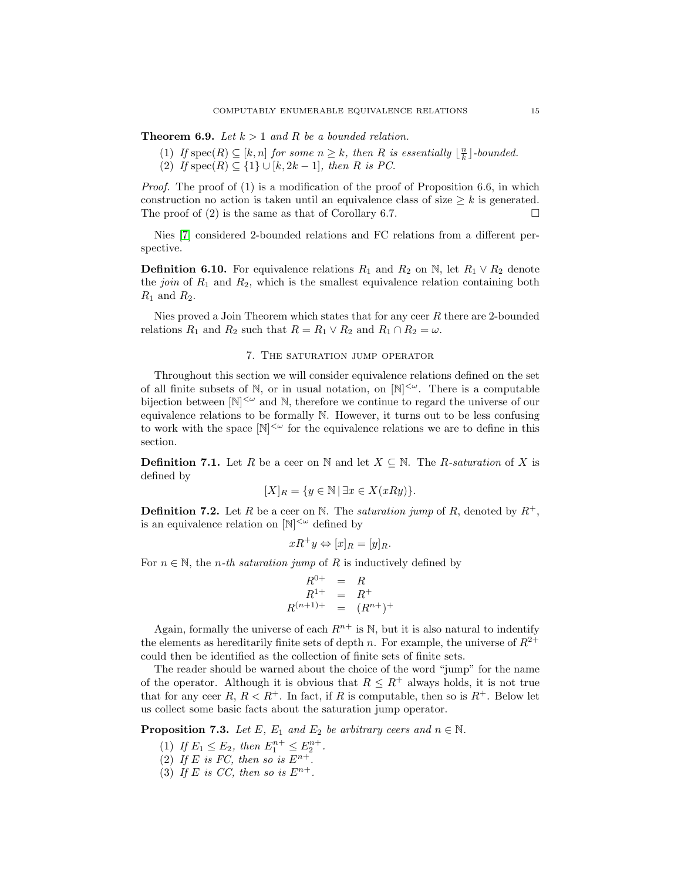<span id="page-14-1"></span>**Theorem 6.9.** Let  $k > 1$  and R be a bounded relation.

- (1) If  $\text{spec}(R) \subseteq [k, n]$  for some  $n \geq k$ , then R is essentially  $\lfloor \frac{n}{k} \rfloor$ -bounded.
- (2) If  $\operatorname{spec}(R) \subseteq \{1\} \cup [k, 2k-1]$ , then R is PC.

*Proof.* The proof of  $(1)$  is a modification of the proof of Proposition 6.6, in which construction no action is taken until an equivalence class of size  $\geq k$  is generated. The proof of (2) is the same as that of Corollary 6.7.  $\Box$ 

Nies [\[7\]](#page-25-5) considered 2-bounded relations and FC relations from a different perspective.

**Definition 6.10.** For equivalence relations  $R_1$  and  $R_2$  on N, let  $R_1 \vee R_2$  denote the *join* of  $R_1$  and  $R_2$ , which is the smallest equivalence relation containing both  $R_1$  and  $R_2$ .

Nies proved a Join Theorem which states that for any ceer  $R$  there are 2-bounded relations  $R_1$  and  $R_2$  such that  $R = R_1 \vee R_2$  and  $R_1 \cap R_2 = \omega$ .

# 7. The saturation jump operator

<span id="page-14-0"></span>Throughout this section we will consider equivalence relations defined on the set of all finite subsets of N, or in usual notation, on  $[N]^{<\omega}$ . There is a computable bijection between  $[N]^{<\omega}$  and N, therefore we continue to regard the universe of our equivalence relations to be formally N. However, it turns out to be less confusing to work with the space  $[N]^{<\omega}$  for the equivalence relations we are to define in this section.

**Definition 7.1.** Let R be a ceer on N and let  $X \subseteq N$ . The R-saturation of X is defined by

$$
[X]_R = \{ y \in \mathbb{N} \mid \exists x \in X(xRy) \}.
$$

**Definition 7.2.** Let R be a ceer on N. The *saturation jump* of R, denoted by  $R^+$ , is an equivalence relation on  $[N]^{<\omega}$  defined by

$$
xR^+y \Leftrightarrow [x]_R = [y]_R.
$$

For  $n \in \mathbb{N}$ , the *n*-th saturation jump of R is inductively defined by

$$
R^{0+} = R
$$
  
\n
$$
R^{1+} = R^{+}
$$
  
\n
$$
R^{(n+1)+} = (R^{n+})^{+}
$$

Again, formally the universe of each  $R^{n+}$  is N, but it is also natural to indentify the elements as hereditarily finite sets of depth n. For example, the universe of  $R^{2+}$ could then be identified as the collection of finite sets of finite sets.

The reader should be warned about the choice of the word "jump" for the name of the operator. Although it is obvious that  $R \leq R^+$  always holds, it is not true that for any ceer R,  $R < R^+$ . In fact, if R is computable, then so is  $R^+$ . Below let us collect some basic facts about the saturation jump operator.

**Proposition 7.3.** Let E, E<sub>1</sub> and E<sub>2</sub> be arbitrary ceers and  $n \in \mathbb{N}$ .

- (1) If  $E_1 \le E_2$ , then  $E_1^{n+} \le E_2^{n+}$ .
- (2) If E is FC, then so is  $E^{n+}$ .
- (3) If E is CC, then so is  $E^{n+}$ .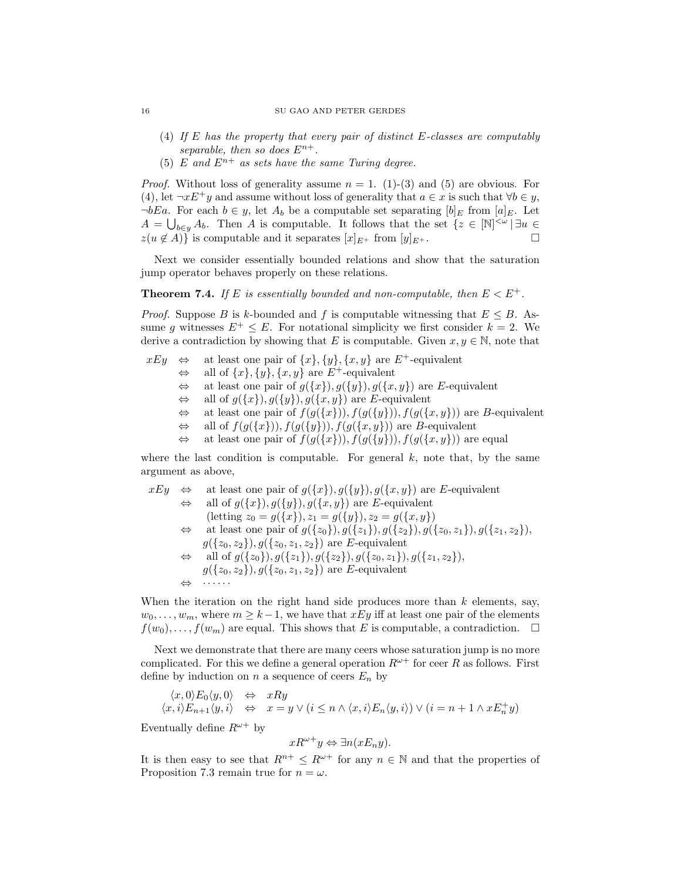- (4) If E has the property that every pair of distinct E-classes are computably separable, then so does  $E^{n+}$ .
- (5) E and  $E^{n+}$  as sets have the same Turing degree.

*Proof.* Without loss of generality assume  $n = 1$ . (1)-(3) and (5) are obvious. For (4), let  $\neg xE^+y$  and assume without loss of generality that  $a \in x$  is such that  $\forall b \in y$ ,  $\neg bEa$ . For each  $b \in y$ , let  $A_b$  be a computable set separating  $[b]_E$  from  $[a]_E$ . Let  $A = \bigcup_{b \in y} A_b$ . Then A is computable. It follows that the set  $\{z \in [\mathbb{N}]^{\leq \omega} | \exists u \in \mathbb{N} \}$  $z(u \notin A)$  is computable and it separates  $[x]_{E^+}$  from  $[y]_{E^+}$ .

Next we consider essentially bounded relations and show that the saturation jump operator behaves properly on these relations.

**Theorem 7.4.** If E is essentially bounded and non-computable, then  $E < E^+$ .

*Proof.* Suppose B is k-bounded and f is computable witnessing that  $E \leq B$ . Assume g witnesses  $E^+ \leq E$ . For notational simplicity we first consider  $k = 2$ . We derive a contradiction by showing that E is computable. Given  $x, y \in \mathbb{N}$ , note that

- $xEy \Leftrightarrow$  at least one pair of  $\{x\}, \{y\}, \{x, y\}$  are  $E^+$ -equivalent
	- $\Leftrightarrow$  all of  $\{x\}, \{y\}, \{x, y\}$  are  $E^+$ -equivalent
	- $\Leftrightarrow$  at least one pair of  $g({x}), g({y}), g({x, y})$  are E-equivalent
	- $\Leftrightarrow$  all of  $g({x}), g({y}), g({x, y})$  are E-equivalent
	- $\Leftrightarrow$  at least one pair of  $f(g({x})), f(g({y})), f(g({x}, y))$  are B-equivalent
	- $\Leftrightarrow$  all of  $f(g(\lbrace x \rbrace)), f(g(\lbrace y \rbrace)), f(g(\lbrace x, y \rbrace))$  are B-equivalent
	- $\Leftrightarrow$  at least one pair of  $f(g(\lbrace x \rbrace)), f(g(\lbrace y \rbrace)), f(g(\lbrace x, y \rbrace))$  are equal

where the last condition is computable. For general  $k$ , note that, by the same argument as above,

$$
xEy \Leftrightarrow \text{ at least one pair of } g(\lbrace x \rbrace), g(\lbrace y \rbrace), g(\lbrace x, y \rbrace) \text{ are } E\text{-equivalent}
$$
\n
$$
\Leftrightarrow \text{ all of } g(\lbrace x \rbrace), g(\lbrace y \rbrace), g(\lbrace x, y \rbrace) \text{ are } E\text{-equivalent}
$$
\n
$$
(\text{letting } z_0 = g(\lbrace x \rbrace), z_1 = g(\lbrace y \rbrace), z_2 = g(\lbrace x, y \rbrace)
$$
\n
$$
\Leftrightarrow \text{ at least one pair of } g(\lbrace z_0 \rbrace), g(\lbrace z_1 \rbrace), g(\lbrace z_2 \rbrace), g(\lbrace z_0, z_1 \rbrace), g(\lbrace z_1, z_2 \rbrace),
$$
\n
$$
g(\lbrace z_0, z_2 \rbrace), g(\lbrace z_0, z_1, z_2 \rbrace) \text{ are } E\text{-equivalent}
$$
\n
$$
\Leftrightarrow \text{ all of } g(\lbrace z_0 \rbrace), g(\lbrace z_1 \rbrace), g(\lbrace z_2 \rbrace), g(\lbrace z_0, z_1 \rbrace), g(\lbrace z_1, z_2 \rbrace),
$$
\n
$$
g(\lbrace z_0, z_2 \rbrace), g(\lbrace z_0, z_1, z_2 \rbrace) \text{ are } E\text{-equivalent}
$$
\n
$$
\Leftrightarrow \dots
$$

When the iteration on the right hand side produces more than  $k$  elements, say,  $w_0, \ldots, w_m$ , where  $m \geq k-1$ , we have that  $xEy$  iff at least one pair of the elements  $f(w_0), \ldots, f(w_m)$  are equal. This shows that E is computable, a contradiction.  $\Box$ 

Next we demonstrate that there are many ceers whose saturation jump is no more complicated. For this we define a general operation  $R^{\omega+}$  for ceer R as follows. First define by induction on n a sequence of ceers  $E_n$  by

$$
\langle x, 0 \rangle E_0 \langle y, 0 \rangle \Leftrightarrow xRy
$$
  

$$
\langle x, i \rangle E_{n+1} \langle y, i \rangle \Leftrightarrow x = y \vee (i \le n \wedge \langle x, i \rangle E_n \langle y, i \rangle) \vee (i = n + 1 \wedge xE_n^+ y)
$$

Eventually define  $R^{\omega+}$  by

$$
xR^{\omega+}y \Leftrightarrow \exists n(xE_ny).
$$

It is then easy to see that  $R^{n+} \leq R^{\omega+}$  for any  $n \in \mathbb{N}$  and that the properties of Proposition 7.3 remain true for  $n = \omega$ .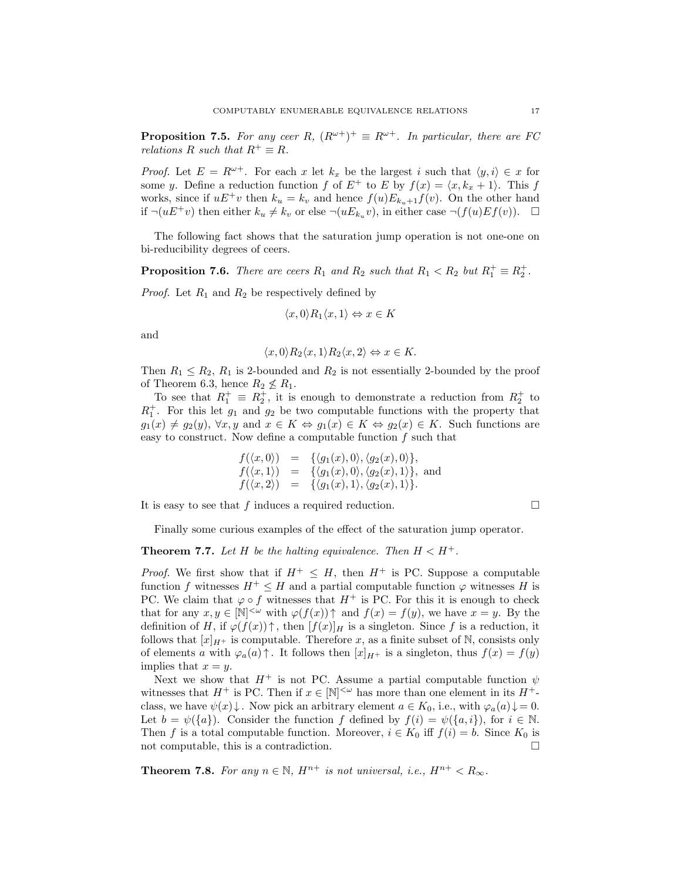**Proposition 7.5.** For any ceer R,  $(R^{\omega+})^+ \equiv R^{\omega+}$ . In particular, there are FC relations R such that  $R^+ \equiv R$ .

*Proof.* Let  $E = R^{\omega +}$ . For each x let  $k_x$  be the largest i such that  $\langle y, i \rangle \in x$  for some y. Define a reduction function f of  $E^+$  to E by  $f(x) = \langle x, k_x + 1 \rangle$ . This f works, since if  $uE^+v$  then  $k_u = k_v$  and hence  $f(u)E_{k_u+1}f(v)$ . On the other hand if  $\neg(uE^+v)$  then either  $k_u \neq k_v$  or else  $\neg(uE_{k_u}v)$ , in either case  $\neg(f(u)Ef(v))$ .  $\Box$ 

The following fact shows that the saturation jump operation is not one-one on bi-reducibility degrees of ceers.

**Proposition 7.6.** There are ceers  $R_1$  and  $R_2$  such that  $R_1 < R_2$  but  $R_1^+ \equiv R_2^+$ .

*Proof.* Let  $R_1$  and  $R_2$  be respectively defined by

$$
\langle x, 0 \rangle R_1 \langle x, 1 \rangle \Leftrightarrow x \in K
$$

and

$$
\langle x, 0 \rangle R_2 \langle x, 1 \rangle R_2 \langle x, 2 \rangle \Leftrightarrow x \in K.
$$

Then  $R_1 \leq R_2$ ,  $R_1$  is 2-bounded and  $R_2$  is not essentially 2-bounded by the proof of Theorem 6.3, hence  $R_2 \nleq R_1$ .

To see that  $R_1^+ \equiv R_2^+$ , it is enough to demonstrate a reduction from  $R_2^+$  to  $R_1^+$ . For this let  $g_1$  and  $g_2$  be two computable functions with the property that  $g_1(x) \neq g_2(y)$ ,  $\forall x, y$  and  $x \in K \Leftrightarrow g_1(x) \in K \Leftrightarrow g_2(x) \in K$ . Such functions are easy to construct. Now define a computable function  $f$  such that

$$
f(\langle x, 0 \rangle) = \{ \langle g_1(x), 0 \rangle, \langle g_2(x), 0 \rangle \},
$$
  
\n
$$
f(\langle x, 1 \rangle) = \{ \langle g_1(x), 0 \rangle, \langle g_2(x), 1 \rangle \},
$$
 and  
\n
$$
f(\langle x, 2 \rangle) = \{ \langle g_1(x), 1 \rangle, \langle g_2(x), 1 \rangle \}.
$$

It is easy to see that  $f$  induces a required reduction.  $\Box$ 

Finally some curious examples of the effect of the saturation jump operator.

**Theorem 7.7.** Let H be the halting equivalence. Then  $H < H^+$ .

*Proof.* We first show that if  $H^+ \leq H$ , then  $H^+$  is PC. Suppose a computable function f witnesses  $H^+ \leq H$  and a partial computable function  $\varphi$  witnesses H is PC. We claim that  $\varphi \circ f$  witnesses that  $H^+$  is PC. For this it is enough to check that for any  $x, y \in [N]^{<\omega}$  with  $\varphi(f(x)) \uparrow$  and  $f(x) = f(y)$ , we have  $x = y$ . By the definition of H, if  $\varphi(f(x))\uparrow$ , then  $[f(x)]_H$  is a singleton. Since f is a reduction, it follows that  $[x]_{H^+}$  is computable. Therefore x, as a finite subset of N, consists only of elements a with  $\varphi_a(a) \uparrow$ . It follows then  $[x]_{H^+}$  is a singleton, thus  $f(x) = f(y)$ implies that  $x = y$ .

Next we show that  $H^+$  is not PC. Assume a partial computable function  $\psi$ witnesses that  $H^+$  is PC. Then if  $x \in [\mathbb{N}]^{<\omega}$  has more than one element in its  $H^+$ class, we have  $\psi(x)\downarrow$ . Now pick an arbitrary element  $a \in K_0$ , i.e., with  $\varphi_a(a)\downarrow = 0$ . Let  $b = \psi({a})$ . Consider the function f defined by  $f(i) = \psi({a}, i)$ , for  $i \in \mathbb{N}$ . Then f is a total computable function. Moreover,  $i \in K_0$  iff  $f(i) = b$ . Since  $K_0$  is not computable, this is a contradiction.  $\Box$ 

**Theorem 7.8.** For any  $n \in \mathbb{N}$ ,  $H^{n+}$  is not universal, i.e.,  $H^{n+} < R_{\infty}$ .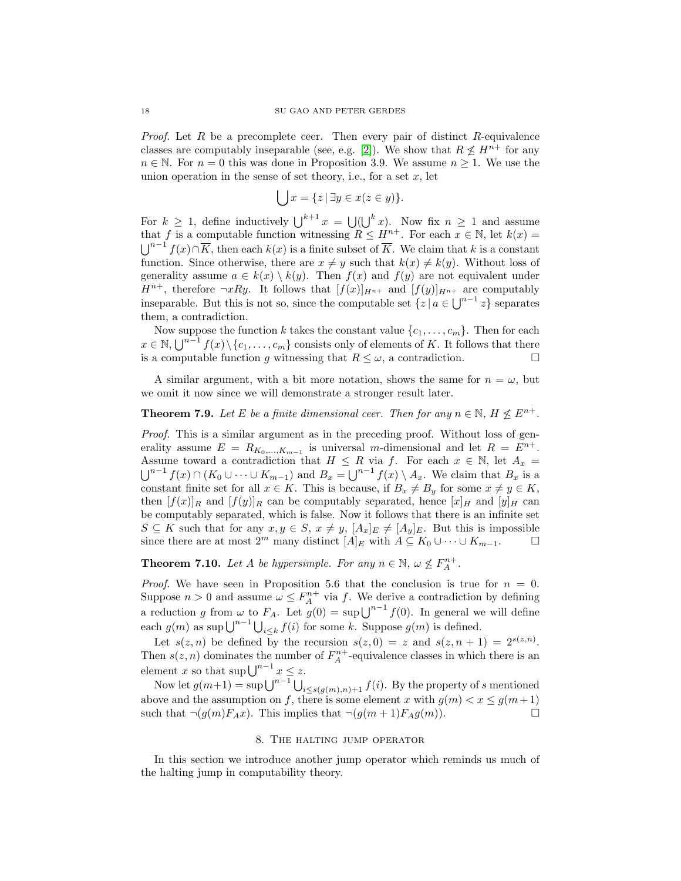<span id="page-17-1"></span>*Proof.* Let  $R$  be a precomplete ceer. Then every pair of distinct  $R$ -equivalence classes are computably inseparable (see, e.g. [\[2\]](#page-25-3)). We show that  $R \nleq H^{n+}$  for any  $n \in \mathbb{N}$ . For  $n = 0$  this was done in Proposition 3.9. We assume  $n \geq 1$ . We use the union operation in the sense of set theory, i.e., for a set  $x$ , let

$$
\bigcup x = \{z \mid \exists y \in x (z \in y)\}.
$$

For  $k \geq 1$ , define inductively  $\bigcup^{k+1} x = \bigcup (\bigcup^{k} x)$ . Now fix  $n \geq 1$  and assume that f is a computable function witnessing  $R \leq H^{n+}$ . For each  $x \in \mathbb{N}$ , let  $k(x) =$  $\bigcup^{n-1} f(x) \cap \overline{K}$ , then each  $k(x)$  is a finite subset of  $\overline{K}$ . We claim that k is a constant function. Since otherwise, there are  $x \neq y$  such that  $k(x) \neq k(y)$ . Without loss of generality assume  $a \in k(x) \setminus k(y)$ . Then  $f(x)$  and  $f(y)$  are not equivalent under  $H^{n+}$ , therefore  $\neg xRy$ . It follows that  $[f(x)]_{H^{n+}}$  and  $[f(y)]_{H^{n+}}$  are computably inseparable. But this is not so, since the computable set  $\{z \mid a \in \bigcup^{n-1} z\}$  separates them, a contradiction.

Now suppose the function k takes the constant value  $\{c_1, \ldots, c_m\}$ . Then for each  $x \in \mathbb{N}, \bigcup^{n-1} f(x) \setminus \{c_1, \ldots, c_m\}$  consists only of elements of K. It follows that there is a computable function g witnessing that  $R \leq \omega$ , a contradiction.

A similar argument, with a bit more notation, shows the same for  $n = \omega$ , but we omit it now since we will demonstrate a stronger result later.

# **Theorem 7.9.** Let E be a finite dimensional ceer. Then for any  $n \in \mathbb{N}$ ,  $H \nleq E^{n+}$ .

Proof. This is a similar argument as in the preceding proof. Without loss of generality assume  $E = R_{K_0,...,K_{m-1}}$  is universal m-dimensional and let  $R = E^{n+}$ . Assume toward a contradiction that  $H \leq R$  via f. For each  $x \in \mathbb{N}$ , let  $A_x =$  $\bigcup^{n-1} f(x) \cap (K_0 \cup \cdots \cup K_{m-1})$  and  $B_x = \bigcup^{n-1} f(x) \setminus A_x$ . We claim that  $B_x$  is a constant finite set for all  $x \in K$ . This is because, if  $B_x \neq B_y$  for some  $x \neq y \in K$ , then  $[f(x)]_R$  and  $[f(y)]_R$  can be computably separated, hence  $[x]_H$  and  $[y]_H$  can be computably separated, which is false. Now it follows that there is an infinite set  $S \subseteq K$  such that for any  $x, y \in S$ ,  $x \neq y$ ,  $[A_x]_E \neq [A_y]_E$ . But this is impossible since there are at most  $2^m$  many distinct  $[A]_E$  with  $A \subseteq K_0 \cup \cdots \cup K_{m-1}$ .  $\Box$ 

**Theorem 7.10.** Let A be hypersimple. For any  $n \in \mathbb{N}$ ,  $\omega \nleq F_A^{n+}$ .

*Proof.* We have seen in Proposition 5.6 that the conclusion is true for  $n = 0$ . Suppose  $n > 0$  and assume  $\omega \leq F_A^{n+}$  via f. We derive a contradiction by defining a reduction g from  $\omega$  to  $F_A$ . Let  $g(0) = \sup \bigcup^{n-1} f(0)$ . In general we will define each  $g(m)$  as sup  $\bigcup^{n-1} \bigcup_{i \leq k} f(i)$  for some k. Suppose  $g(m)$  is defined.

Let  $s(z, n)$  be defined by the recursion  $s(z, 0) = z$  and  $s(z, n + 1) = 2^{s(z, n)}$ . Then  $s(z, n)$  dominates the number of  $F_A^{n+}$ -equivalence classes in which there is an element x so that  $\sup \bigcup^{n-1} x \leq z$ .

Now let  $g(m+1) = \sup \bigcup_{i \le s(g(m),n)+1} f(i)$ . By the property of s mentioned above and the assumption on f, there is some element x with  $g(m) < x \le g(m+1)$ such that  $\neg(g(m)F_Ax)$ . This implies that  $\neg(g(m+1)F_Ag(m))$ .

### 8. The halting jump operator

<span id="page-17-0"></span>In this section we introduce another jump operator which reminds us much of the halting jump in computability theory.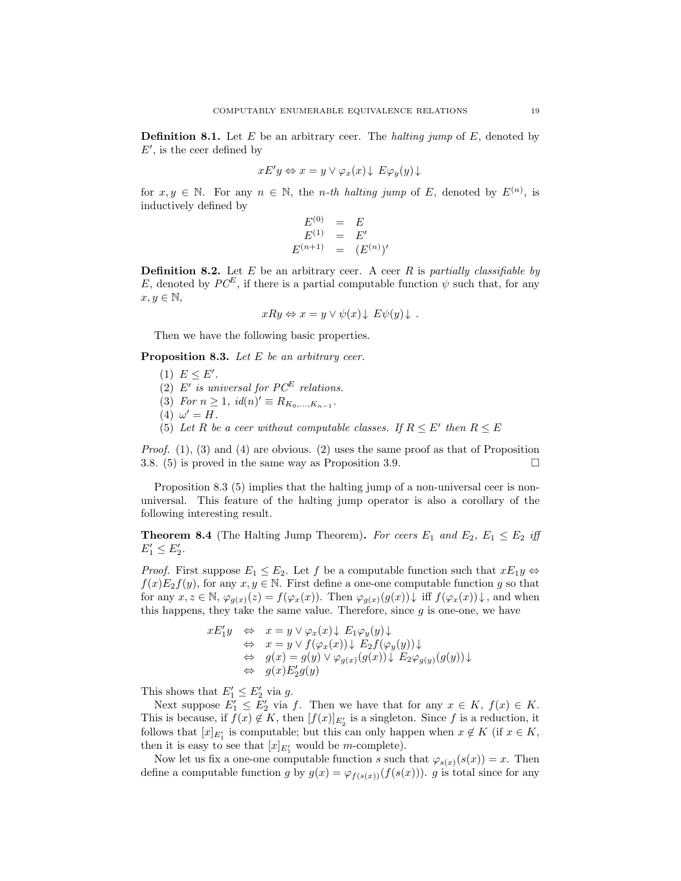**Definition 8.1.** Let E be an arbitrary ceer. The halting jump of E, denoted by  $E'$ , is the ceer defined by

$$
xE'y \Leftrightarrow x = y \lor \varphi_x(x) \downarrow E\varphi_y(y) \downarrow
$$

for  $x, y \in \mathbb{N}$ . For any  $n \in \mathbb{N}$ , the *n*-th halting jump of E, denoted by  $E^{(n)}$ , is inductively defined by

$$
E^{(0)} = E
$$
  
\n
$$
E^{(1)} = E'
$$
  
\n
$$
E^{(n+1)} = (E^{(n)})'
$$

**Definition 8.2.** Let  $E$  be an arbitrary ceer. A ceer  $R$  is partially classifiable by E, denoted by  $PC^E$ , if there is a partial computable function  $\psi$  such that, for any  $x, y \in \mathbb{N},$ 

$$
xRy \Leftrightarrow x = y \vee \psi(x) \downarrow E\psi(y) \downarrow .
$$

Then we have the following basic properties.

**Proposition 8.3.** Let  $E$  be an arbitrary ceer.

- (1)  $E \leq E'$ .
- (2) E' is universal for  $PC^E$  relations.
- (3) For  $n \geq 1$ ,  $id(n)' \equiv R_{K_0,...,K_{n-1}}$ .
- (4)  $\omega' = H$ .
- (5) Let R be a ceer without computable classes. If  $R \leq E'$  then  $R \leq E$

*Proof.* (1), (3) and (4) are obvious. (2) uses the same proof as that of Proposition 3.8. (5) is proved in the same way as Proposition 3.9.

Proposition 8.3 (5) implies that the halting jump of a non-universal ceer is nonuniversal. This feature of the halting jump operator is also a corollary of the following interesting result.

**Theorem 8.4** (The Halting Jump Theorem). For ceers  $E_1$  and  $E_2$ ,  $E_1 \le E_2$  iff  $E_1' \leq E_2'.$ 

*Proof.* First suppose  $E_1 \leq E_2$ . Let f be a computable function such that  $xE_1y \Leftrightarrow$  $f(x)E_2f(y)$ , for any  $x, y \in \mathbb{N}$ . First define a one-one computable function g so that for any  $x, z \in \mathbb{N}$ ,  $\varphi_{g(x)}(z) = f(\varphi_x(x))$ . Then  $\varphi_{g(x)}(g(x)) \downarrow$  iff  $f(\varphi_x(x)) \downarrow$ , and when this happens, they take the same value. Therefore, since  $g$  is one-one, we have

$$
\begin{array}{rcl} xE_1'y & \Leftrightarrow & x = y \vee \varphi_x(x) \downarrow & E_1 \varphi_y(y) \downarrow \\ & \Leftrightarrow & x = y \vee f(\varphi_x(x)) \downarrow & E_2 f(\varphi_y(y)) \downarrow \\ & \Leftrightarrow & g(x) = g(y) \vee \varphi_{g(x)}(g(x)) \downarrow & E_2 \varphi_{g(y)}(g(y)) \downarrow \\ & \Leftrightarrow & g(x)E_2'g(y) \end{array}
$$

This shows that  $E'_1 \leq E'_2$  via g.

Next suppose  $E'_1 \leq E'_2$  via f. Then we have that for any  $x \in K$ ,  $f(x) \in K$ . This is because, if  $f(x) \notin K$ , then  $[f(x)]_{E'_2}$  is a singleton. Since f is a reduction, it follows that  $[x]_{E'_1}$  is computable; but this can only happen when  $x \notin K$  (if  $x \in K$ , then it is easy to see that  $[x]_{E'_1}$  would be *m*-complete).

Now let us fix a one-one computable function s such that  $\varphi_{s(x)}(s(x)) = x$ . Then define a computable function g by  $g(x) = \varphi_{f(s(x))}(f(s(x)))$ . g is total since for any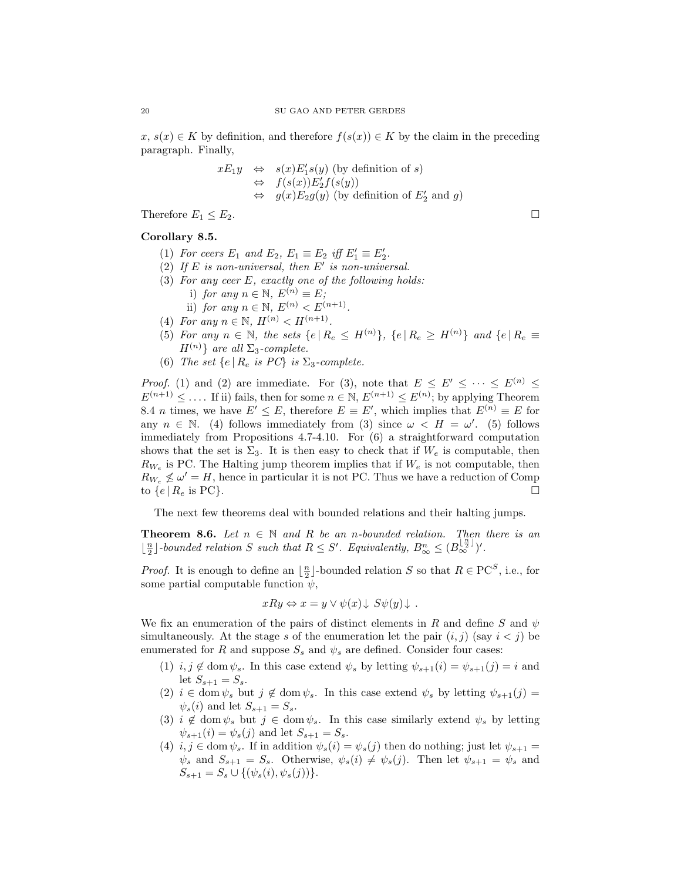$x, s(x) \in K$  by definition, and therefore  $f(s(x)) \in K$  by the claim in the preceding paragraph. Finally,

$$
xE_1y \Leftrightarrow s(x)E'_1s(y) \text{ (by definition of } s)
$$
  
\n
$$
\Leftrightarrow f(s(x))E'_2f(s(y))
$$
  
\n
$$
\Leftrightarrow g(x)E_2g(y) \text{ (by definition of } E'_2 \text{ and } g)
$$

Therefore  $E_1 \le E_2$ .

## Corollary 8.5.

- (1) For ceers  $E_1$  and  $E_2$ ,  $E_1 \equiv E_2$  iff  $E'_1 \equiv E'_2$ .
- (2) If  $E$  is non-universal, then  $E'$  is non-universal.
- (3) For any ceer  $E$ , exactly one of the following holds:
	- i) for any  $n \in \mathbb{N}$ ,  $E^{(n)} \equiv E$ ;
	- ii) for any  $n \in \mathbb{N}$ ,  $E^{(n)} < E^{(n+1)}$ .
- (4) For any  $n \in \mathbb{N}$ ,  $H^{(n)} < H^{(n+1)}$ .
- (5) For any  $n \in \mathbb{N}$ , the sets  $\{e | R_e \leq H^{(n)}\}$ ,  $\{e | R_e \geq H^{(n)}\}$  and  $\{e | R_e \equiv$  $H^{(n)}$ } are all  $\Sigma_3$ -complete.
- (6) The set  $\{e \mid R_e \text{ is } PC\}$  is  $\Sigma_3$ -complete.

*Proof.* (1) and (2) are immediate. For (3), note that  $E \leq E' \leq \cdots \leq E^{(n)} \leq$  $E^{(n+1)} \leq \ldots$  If ii) fails, then for some  $n \in \mathbb{N}$ ,  $E^{(n+1)} \leq E^{(n)}$ ; by applying Theorem 8.4 *n* times, we have  $E' \leq E$ , therefore  $E \equiv E'$ , which implies that  $E^{(n)} \equiv E$  for any  $n \in \mathbb{N}$ . (4) follows immediately from (3) since  $\omega \lt H = \omega'$ . (5) follows immediately from Propositions 4.7-4.10. For (6) a straightforward computation shows that the set is  $\Sigma_3$ . It is then easy to check that if  $W_e$  is computable, then  $R_{W_e}$  is PC. The Halting jump theorem implies that if  $W_e$  is not computable, then  $R_{W_e} \not\leq \omega' = H$ , hence in particular it is not PC. Thus we have a reduction of Comp to  $\{e \mid R_e \text{ is PC}\}.$ 

The next few theorems deal with bounded relations and their halting jumps.

**Theorem 8.6.** Let  $n \in \mathbb{N}$  and R be an n-bounded relation. Then there is an  $\lfloor \frac{n}{2} \rfloor$ -bounded relation S such that  $R \leq S'$ . Equivalently,  $B_{\infty}^n \leq (B_{\infty}^{\lfloor \frac{n}{2} \rfloor})'$ .

*Proof.* It is enough to define an  $\lfloor \frac{n}{2} \rfloor$ -bounded relation S so that  $R \in \mathbb{PC}^S$ , i.e., for some partial computable function  $\psi$ ,

$$
xRy \Leftrightarrow x = y \vee \psi(x) \downarrow S\psi(y) \downarrow .
$$

We fix an enumeration of the pairs of distinct elements in R and define S and  $\psi$ simultaneously. At the stage s of the enumeration let the pair  $(i, j)$  (say  $i < j$ ) be enumerated for R and suppose  $S_s$  and  $\psi_s$  are defined. Consider four cases:

- (1)  $i, j \notin \text{dom } \psi_s$ . In this case extend  $\psi_s$  by letting  $\psi_{s+1}(i) = \psi_{s+1}(j) = i$  and let  $S_{s+1} = S_s$ .
- (2)  $i \in \text{dom } \psi_s$  but  $j \notin \text{dom } \psi_s$ . In this case extend  $\psi_s$  by letting  $\psi_{s+1}(j) =$  $\psi_s(i)$  and let  $S_{s+1} = S_s$ .
- (3)  $i \notin \text{dom } \psi_s$  but  $j \in \text{dom } \psi_s$ . In this case similarly extend  $\psi_s$  by letting  $\psi_{s+1}(i) = \psi_s(j)$  and let  $S_{s+1} = S_s$ .
- (4)  $i, j \in \text{dom } \psi_s$ . If in addition  $\psi_s(i) = \psi_s(j)$  then do nothing; just let  $\psi_{s+1} =$  $\psi_s$  and  $S_{s+1} = S_s$ . Otherwise,  $\psi_s(i) \neq \psi_s(j)$ . Then let  $\psi_{s+1} = \psi_s$  and  $S_{s+1} = S_s \cup \{(\psi_s(i), \psi_s(j))\}.$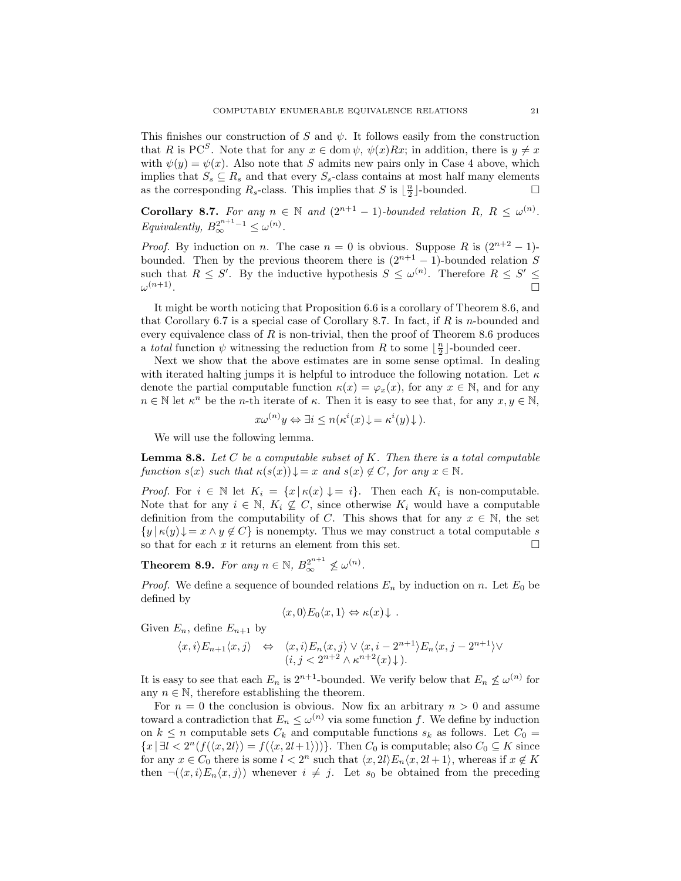This finishes our construction of S and  $\psi$ . It follows easily from the construction that R is PC<sup>S</sup>. Note that for any  $x \in \text{dom }\psi, \psi(x)Rx$ ; in addition, there is  $y \neq x$ with  $\psi(y) = \psi(x)$ . Also note that S admits new pairs only in Case 4 above, which implies that  $S_s \subseteq R_s$  and that every  $S_s$ -class contains at most half many elements as the corresponding  $R_s$ -class. This implies that S is  $\lfloor \frac{n}{2} \rfloor$ -bounded.

Corollary 8.7. For any  $n \in \mathbb{N}$  and  $(2^{n+1} - 1)$ -bounded relation R,  $R \leq \omega^{(n)}$ . Equivalently,  $B_{\infty}^{2^{n+1}-1} \leq \omega^{(n)}$ .

*Proof.* By induction on *n*. The case  $n = 0$  is obvious. Suppose R is  $(2^{n+2} - 1)$ bounded. Then by the previous theorem there is  $(2^{n+1} - 1)$ -bounded relation S such that  $R \leq S'$ . By the inductive hypothesis  $S \leq \omega^{(n)}$ . Therefore  $R \leq S' \leq$  $\omega^{(n+1)}$ .

It might be worth noticing that Proposition 6.6 is a corollary of Theorem 8.6, and that Corollary 6.7 is a special case of Corollary 8.7. In fact, if  $R$  is n-bounded and every equivalence class of  $R$  is non-trivial, then the proof of Theorem 8.6 produces a *total* function  $\psi$  witnessing the reduction from R to some  $\lfloor \frac{n}{2} \rfloor$ -bounded ceer.

Next we show that the above estimates are in some sense optimal. In dealing with iterated halting jumps it is helpful to introduce the following notation. Let  $\kappa$ denote the partial computable function  $\kappa(x) = \varphi_x(x)$ , for any  $x \in \mathbb{N}$ , and for any  $n \in \mathbb{N}$  let  $\kappa^n$  be the *n*-th iterate of  $\kappa$ . Then it is easy to see that, for any  $x, y \in \mathbb{N}$ ,

$$
x\omega^{(n)}y \Leftrightarrow \exists i \le n(\kappa^i(x)\downarrow = \kappa^i(y)\downarrow).
$$

We will use the following lemma.

**Lemma 8.8.** Let C be a computable subset of K. Then there is a total computable function  $s(x)$  such that  $\kappa(s(x)) \downarrow = x$  and  $s(x) \notin C$ , for any  $x \in \mathbb{N}$ .

*Proof.* For  $i \in \mathbb{N}$  let  $K_i = \{x \mid \kappa(x) \downarrow = i\}$ . Then each  $K_i$  is non-computable. Note that for any  $i \in \mathbb{N}$ ,  $K_i \nsubseteq C$ , since otherwise  $K_i$  would have a computable definition from the computability of C. This shows that for any  $x \in \mathbb{N}$ , the set  $\{y \mid \kappa(y) \downarrow = x \land y \notin C\}$  is nonempty. Thus we may construct a total computable s so that for each  $x$  it returns an element from this set.  $\Box$ 

**Theorem 8.9.** For any  $n \in \mathbb{N}$ ,  $B_{\infty}^{2^{n+1}} \nleq \omega^{(n)}$ .

*Proof.* We define a sequence of bounded relations  $E_n$  by induction on n. Let  $E_0$  be defined by

$$
\langle x,0\rangle E_0\langle x,1\rangle \Leftrightarrow \kappa(x)\downarrow.
$$

Given  $E_n$ , define  $E_{n+1}$  by

$$
\langle x,i\rangle E_{n+1}\langle x,j\rangle \Leftrightarrow \langle x,i\rangle E_n\langle x,j\rangle \vee \langle x,i-2^{n+1}\rangle E_n\langle x,j-2^{n+1}\rangle \vee (i,j<2^{n+2} \wedge \kappa^{n+2}(x)\downarrow).
$$

It is easy to see that each  $E_n$  is  $2^{n+1}$ -bounded. We verify below that  $E_n \nleq \omega^{(n)}$  for any  $n \in \mathbb{N}$ , therefore establishing the theorem.

For  $n = 0$  the conclusion is obvious. Now fix an arbitrary  $n > 0$  and assume toward a contradiction that  $E_n \leq \omega^{(n)}$  via some function f. We define by induction on  $k \leq n$  computable sets  $C_k$  and computable functions  $s_k$  as follows. Let  $C_0 =$  ${x \mid \exists l < 2^{n}(f(\langle x, 2l \rangle) = f(\langle x, 2l+1 \rangle))}.$  Then  $C_0$  is computable; also  $C_0 \subseteq K$  since for any  $x \in C_0$  there is some  $l < 2^n$  such that  $\langle x, 2l \rangle E_n \langle x, 2l + 1 \rangle$ , whereas if  $x \notin K$ then  $\neg(\langle x, i \rangle E_n \langle x, j \rangle)$  whenever  $i \neq j$ . Let  $s_0$  be obtained from the preceding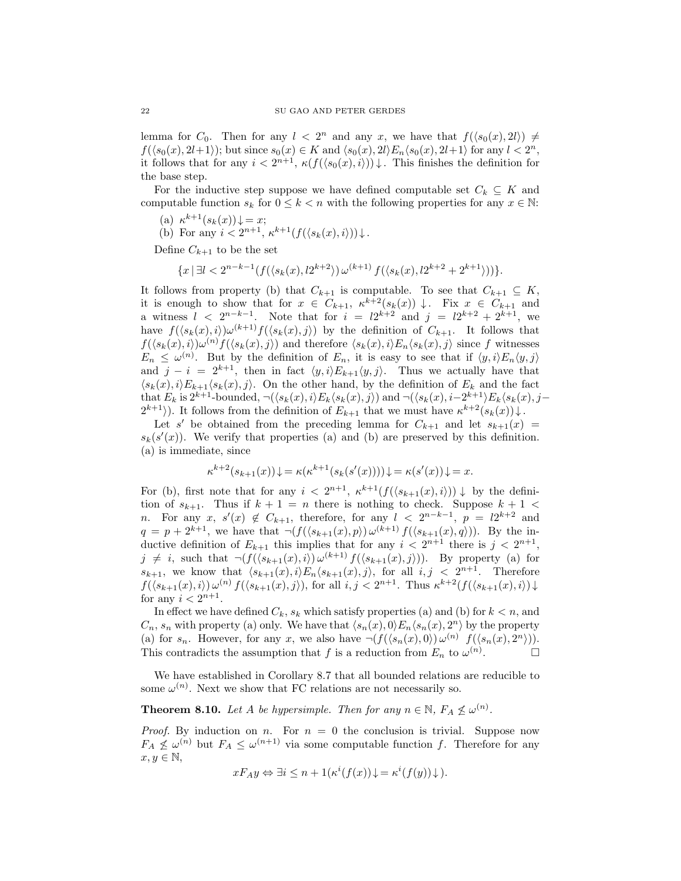lemma for  $C_0$ . Then for any  $l < 2^n$  and any x, we have that  $f(\langle s_0(x), 2l \rangle) \neq$  $f(\langle s_0(x), 2l+1 \rangle);$  but since  $s_0(x) \in K$  and  $\langle s_0(x), 2l \rangle E_n \langle s_0(x), 2l+1 \rangle$  for any  $l < 2^n$ , it follows that for any  $i < 2^{n+1}$ ,  $\kappa(f(\langle s_0(x), i \rangle)) \downarrow$ . This finishes the definition for the base step.

For the inductive step suppose we have defined computable set  $C_k \subseteq K$  and computable function  $s_k$  for  $0 \leq k < n$  with the following properties for any  $x \in \mathbb{N}$ :

- (a)  $\kappa^{k+1}(s_k(x)) \downarrow = x;$
- (b) For any  $i < 2^{n+1}$ ,  $\kappa^{k+1}(f(\langle s_k(x), i \rangle))$ .

Define  $C_{k+1}$  to be the set

 ${x \mid \exists l < 2^{n-k-1}(f(\langle s_k(x), l2^{k+2} \rangle) \omega^{(k+1)} f(\langle s_k(x), l2^{k+2} + 2^{k+1} \rangle))}.$ 

It follows from property (b) that  $C_{k+1}$  is computable. To see that  $C_{k+1} \subseteq K$ , it is enough to show that for  $x \in C_{k+1}$ ,  $\kappa^{k+2}(s_k(x)) \downarrow$ . Fix  $x \in C_{k+1}$  and a witness  $l \leq 2^{n-k-1}$ . Note that for  $i = l2^{k+2}$  and  $j = l2^{k+2} + 2^{k+1}$ , we have  $f(\langle s_k(x), i \rangle) \omega^{(k+1)} f(\langle s_k(x), j \rangle)$  by the definition of  $C_{k+1}$ . It follows that  $f(\langle s_k(x), i \rangle) \omega^{(n)} f(\langle s_k(x), j \rangle)$  and therefore  $\langle s_k(x), i \rangle E_n \langle s_k(x), j \rangle$  since f witnesses  $E_n \n\leq \omega^{(n)}$ . But by the definition of  $E_n$ , it is easy to see that if  $\langle y, i \rangle E_n \langle y, j \rangle$ and  $j - i = 2^{k+1}$ , then in fact  $\langle y, i \rangle E_{k+1} \langle y, j \rangle$ . Thus we actually have that  $\langle s_k(x), i \rangle E_{k+1} \langle s_k(x), j \rangle$ . On the other hand, by the definition of  $E_k$  and the fact that  $E_k$  is  $2^{k+1}$ -bounded,  $\neg(\langle s_k(x), i \rangle E_k \langle s_k(x), j \rangle)$  and  $\neg(\langle s_k(x), i-2^{k+1} \rangle E_k \langle s_k(x), j-\rangle)$  $2^{k+1}$ ). It follows from the definition of  $E_{k+1}$  that we must have  $\kappa^{k+2}(s_k(x))\downarrow$ .

Let s' be obtained from the preceding lemma for  $C_{k+1}$  and let  $s_{k+1}(x)$  =  $s_k(s'(x))$ . We verify that properties (a) and (b) are preserved by this definition. (a) is immediate, since

$$
\kappa^{k+2}(s_{k+1}(x))\downarrow = \kappa(\kappa^{k+1}(s_k(s'(x))))\downarrow = \kappa(s'(x))\downarrow = x.
$$

For (b), first note that for any  $i < 2^{n+1}$ ,  $\kappa^{k+1}(f(\langle s_{k+1}(x), i \rangle)) \downarrow$  by the definition of  $s_{k+1}$ . Thus if  $k+1 = n$  there is nothing to check. Suppose  $k+1 <$ *n*. For any  $x, s'(x) \notin C_{k+1}$ , therefore, for any  $l < 2^{n-k-1}$ ,  $p = l2^{k+2}$  and  $q = p + 2^{k+1}$ , we have that  $\neg(f(\langle s_{k+1}(x), p \rangle) \omega^{(k+1)} f(\langle s_{k+1}(x), q \rangle))$ . By the inductive definition of  $E_{k+1}$  this implies that for any  $i < 2^{n+1}$  there is  $j < 2^{n+1}$ ,  $j \neq i$ , such that  $\neg(f(\langle s_{k+1}(x), i \rangle) \omega^{(k+1)} f(\langle s_{k+1}(x), j \rangle)).$  By property (a) for  $s_{k+1}$ , we know that  $\langle s_{k+1}(x), i \rangle E_n \langle s_{k+1}(x), j \rangle$ , for all  $i, j < 2^{n+1}$ . Therefore  $f(\langle s_{k+1}(x), i \rangle) \omega^{(n)} f(\langle s_{k+1}(x), j \rangle)$ , for all  $i, j < 2^{n+1}$ . Thus  $\kappa^{k+2}(f(\langle s_{k+1}(x), i \rangle) \downarrow$ for any  $i < 2^{n+1}$ .

In effect we have defined  $C_k$ ,  $s_k$  which satisfy properties (a) and (b) for  $k < n$ , and  $C_n$ ,  $s_n$  with property (a) only. We have that  $\langle s_n(x), 0 \rangle E_n \langle s_n(x), 2^n \rangle$  by the property (a) for  $s_n$ . However, for any x, we also have  $\neg(f(\langle s_n(x), 0 \rangle) \omega^{(n)} f(\langle s_n(x), 2^n \rangle)).$ This contradicts the assumption that f is a reduction from  $E_n$  to  $\omega^{(n)}$  $\Box$ 

We have established in Corollary 8.7 that all bounded relations are reducible to some  $\omega^{(n)}$ . Next we show that FC relations are not necessarily so.

**Theorem 8.10.** Let A be hypersimple. Then for any  $n \in \mathbb{N}$ ,  $F_A \nleq \omega^{(n)}$ .

*Proof.* By induction on n. For  $n = 0$  the conclusion is trivial. Suppose now  $F_A \nleq \omega^{(n)}$  but  $F_A \nleq \omega^{(n+1)}$  via some computable function f. Therefore for any  $x, y \in \mathbb{N},$ 

$$
xF_Ay \Leftrightarrow \exists i \le n + 1(\kappa^i(f(x))\downarrow = \kappa^i(f(y))\downarrow).
$$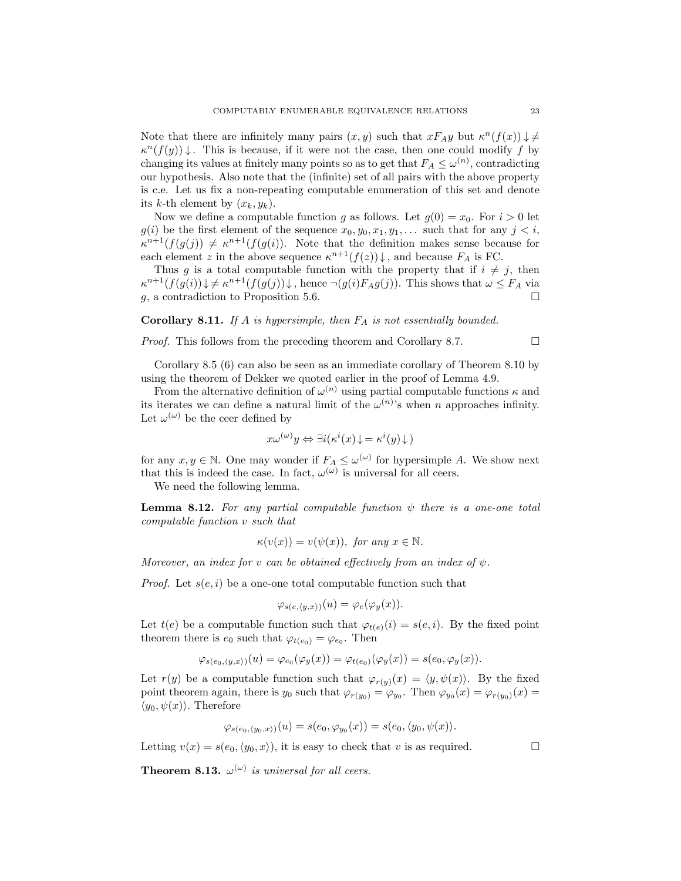Note that there are infinitely many pairs  $(x, y)$  such that  $xF_Ay$  but  $\kappa^n(f(x))\downarrow\neq$  $\kappa^{n}(f(y))$ . This is because, if it were not the case, then one could modify f by changing its values at finitely many points so as to get that  $F_A \leq \omega^{(n)}$ , contradicting our hypothesis. Also note that the (infinite) set of all pairs with the above property is c.e. Let us fix a non-repeating computable enumeration of this set and denote its k-th element by  $(x_k, y_k)$ .

Now we define a computable function g as follows. Let  $g(0) = x_0$ . For  $i > 0$  let  $g(i)$  be the first element of the sequence  $x_0, y_0, x_1, y_1, \ldots$  such that for any  $j < i$ ,  $\kappa^{n+1}(f(g(j))) \neq \kappa^{n+1}(f(g(i))$ . Note that the definition makes sense because for each element z in the above sequence  $\kappa^{n+1}(f(z))\downarrow$ , and because  $F_A$  is FC.

Thus g is a total computable function with the property that if  $i \neq j$ , then  $\kappa^{n+1}(f(g(i))\downarrow \neq \kappa^{n+1}(f(g(j))\downarrow)$ , hence  $\neg(g(i)F_Ag(j))$ . This shows that  $\omega \leq F_A$  via g, a contradiction to Proposition 5.6.

Corollary 8.11. If  $A$  is hypersimple, then  $F_A$  is not essentially bounded.

*Proof.* This follows from the preceding theorem and Corollary 8.7.  $\Box$ 

Corollary 8.5 (6) can also be seen as an immediate corollary of Theorem 8.10 by using the theorem of Dekker we quoted earlier in the proof of Lemma 4.9.

From the alternative definition of  $\omega^{(n)}$  using partial computable functions  $\kappa$  and its iterates we can define a natural limit of the  $\omega^{(n)}$ 's when n approaches infinity. Let  $\omega^{(\omega)}$  be the ceer defined by

$$
x\omega^{(\omega)}y \Leftrightarrow \exists i(\kappa^i(x)\downarrow = \kappa^i(y)\downarrow)
$$

for any  $x, y \in \mathbb{N}$ . One may wonder if  $F_A \leq \omega^{(\omega)}$  for hypersimple A. We show next that this is indeed the case. In fact,  $\omega^{(\omega)}$  is universal for all ceers.

We need the following lemma.

**Lemma 8.12.** For any partial computable function  $\psi$  there is a one-one total computable function v such that

$$
\kappa(v(x)) = v(\psi(x)), \text{ for any } x \in \mathbb{N}.
$$

Moreover, an index for v can be obtained effectively from an index of  $\psi$ .

*Proof.* Let  $s(e, i)$  be a one-one total computable function such that

$$
\varphi_{s(e,\langle y,x\rangle)}(u)=\varphi_e(\varphi_y(x)).
$$

Let  $t(e)$  be a computable function such that  $\varphi_{t(e)}(i) = s(e, i)$ . By the fixed point theorem there is  $e_0$  such that  $\varphi_{t(e_0)} = \varphi_{e_0}$ . Then

$$
\varphi_{s(e_0,\langle y,x\rangle)}(u)=\varphi_{e_0}(\varphi_y(x))=\varphi_{t(e_0)}(\varphi_y(x))=s(e_0,\varphi_y(x)).
$$

Let  $r(y)$  be a computable function such that  $\varphi_{r(y)}(x) = \langle y, \psi(x) \rangle$ . By the fixed point theorem again, there is  $y_0$  such that  $\varphi_{r(y_0)} = \varphi_{y_0}$ . Then  $\varphi_{y_0}(x) = \varphi_{r(y_0)}(x)$  $\langle y_0, \psi(x) \rangle$ . Therefore

$$
\varphi_{s(e_0,\langle y_0,x\rangle)}(u)=s(e_0,\varphi_{y_0}(x))=s(e_0,\langle y_0,\psi(x)\rangle.
$$

Letting  $v(x) = s(e_0, \langle y_0, x \rangle)$ , it is easy to check that v is as required.

**Theorem 8.13.**  $\omega^{(\omega)}$  is universal for all ceers.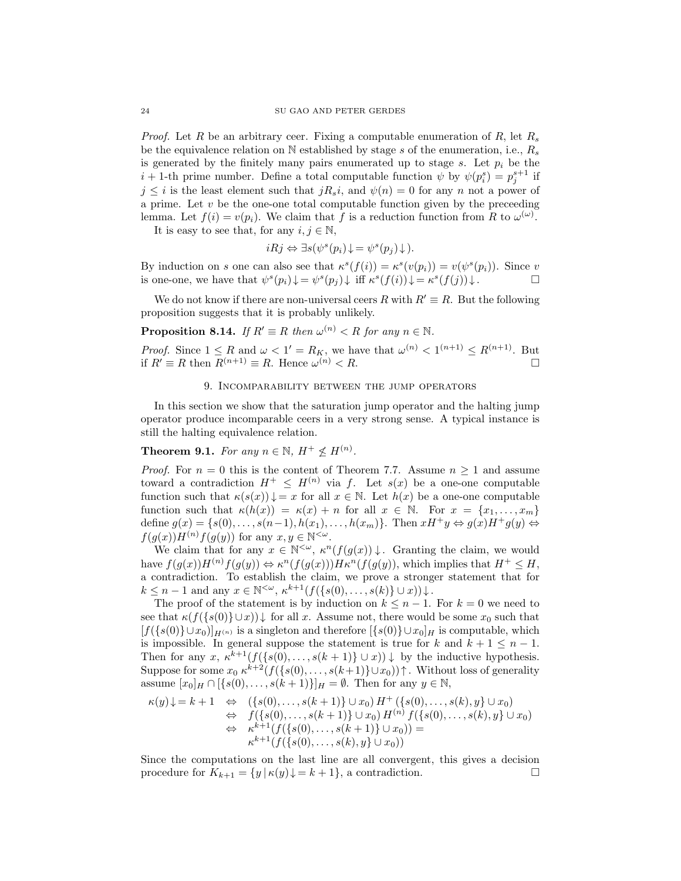*Proof.* Let R be an arbitrary ceer. Fixing a computable enumeration of R, let  $R_s$ be the equivalence relation on  $N$  established by stage s of the enumeration, i.e.,  $R_s$ is generated by the finitely many pairs enumerated up to stage s. Let  $p_i$  be the  $i + 1$ -th prime number. Define a total computable function  $\psi$  by  $\psi(p_i^s) = p_j^{s+1}$  if  $j \leq i$  is the least element such that  $jR_s i$ , and  $\psi(n) = 0$  for any n not a power of a prime. Let  $v$  be the one-one total computable function given by the preceeding lemma. Let  $f(i) = v(p_i)$ . We claim that f is a reduction function from R to  $\omega^{(\omega)}$ .

It is easy to see that, for any  $i, j \in \mathbb{N}$ ,

$$
iRj \Leftrightarrow \exists s(\psi^s(p_i)\downarrow = \psi^s(p_j)\downarrow).
$$

By induction on s one can also see that  $\kappa^{s}(f(i)) = \kappa^{s}(v(p_i)) = v(\psi^{s}(p_i))$ . Since v is one-one, we have that  $\psi^s(p_i) \downarrow = \psi^s(p_j) \downarrow$  iff  $\kappa^s(f(i)) \downarrow = \kappa^s(f(j)) \downarrow$ .

We do not know if there are non-universal ceers R with  $R' \equiv R$ . But the following proposition suggests that it is probably unlikely.

**Proposition 8.14.** If  $R' \equiv R$  then  $\omega^{(n)} < R$  for any  $n \in \mathbb{N}$ .

*Proof.* Since  $1 \leq R$  and  $\omega < 1' = R_K$ , we have that  $\omega^{(n)} < 1^{(n+1)} \leq R^{(n+1)}$ . But if  $R' \equiv R$  then  $R^{(n+1)} \equiv R$ . Hence  $\omega^{(n)} < R$ .  $(n) < R$ .

## 9. Incomparability between the jump operators

<span id="page-23-0"></span>In this section we show that the saturation jump operator and the halting jump operator produce incomparable ceers in a very strong sense. A typical instance is still the halting equivalence relation.

**Theorem 9.1.** For any  $n \in \mathbb{N}$ ,  $H^+ \nleq H^{(n)}$ .

*Proof.* For  $n = 0$  this is the content of Theorem 7.7. Assume  $n \ge 1$  and assume toward a contradiction  $H^+ \n\leq H^{(n)}$  via f. Let  $s(x)$  be a one-one computable function such that  $\kappa(s(x)) \downarrow = x$  for all  $x \in \mathbb{N}$ . Let  $h(x)$  be a one-one computable function such that  $\kappa(h(x)) = \kappa(x) + n$  for all  $x \in \mathbb{N}$ . For  $x = \{x_1, \ldots, x_m\}$ define  $g(x) = \{s(0), \ldots, s(n-1), h(x_1), \ldots, h(x_m)\}\.$  Then  $xH^+y \Leftrightarrow g(x)H^+g(y) \Leftrightarrow$  $f(g(x))H^{(n)}f(g(y))$  for any  $x, y \in \mathbb{N}^{\leq \omega}$ .

We claim that for any  $x \in \mathbb{N}^{\leq \omega}$ ,  $\kappa^n(f(g(x)))$ . Granting the claim, we would have  $f(g(x))H^{(n)}f(g(y)) \Leftrightarrow \kappa^{n}(f(g(x)))H\kappa^{n}(f(g(y)),$  which implies that  $H^{+} \leq H$ , a contradiction. To establish the claim, we prove a stronger statement that for  $k \leq n-1$  and any  $x \in \mathbb{N}^{\lt \omega}, \kappa^{k+1}(f(\lbrace s(0), \ldots, s(k) \rbrace \cup x))$ .

The proof of the statement is by induction on  $k \leq n-1$ . For  $k = 0$  we need to see that  $\kappa(f({s(0)}\cup x))\downarrow$  for all x. Assume not, there would be some  $x_0$  such that  $[f({s(0)}\cup x_0)]_{H^{(n)}}$  is a singleton and therefore  $[{s(0)}\cup x_0]_H$  is computable, which is impossible. In general suppose the statement is true for k and  $k + 1 \leq n - 1$ . Then for any x,  $\kappa^{k+1}(f({s(0),...,s(k+1)} \cup x)) \downarrow$  by the inductive hypothesis. Suppose for some  $x_0 \kappa^{k+2}(f({s(0),...,s(k+1)} \cup x_0))$ <sup>\*</sup>. Without loss of generality assume  $[x_0]_H \cap [{s(0),...,s(k+1)}]_H = \emptyset$ . Then for any  $y \in \mathbb{N}$ ,

$$
\kappa(y)\downarrow = k+1 \Leftrightarrow (\{s(0),...,s(k+1)\} \cup x_0) H^+ (\{s(0),...,s(k),y\} \cup x_0)
$$
  
\n
$$
\Leftrightarrow f(\{s(0),...,s(k+1)\} \cup x_0) H^{(n)} f(\{s(0),...,s(k),y\} \cup x_0)
$$
  
\n
$$
\Leftrightarrow \kappa^{k+1} (f(\{s(0),...,s(k+1)\} \cup x_0)) =
$$
  
\n
$$
\kappa^{k+1} (f(\{s(0),...,s(k),y\} \cup x_0))
$$

Since the computations on the last line are all convergent, this gives a decision procedure for  $K_{k+1} = \{y \mid \kappa(y) \downarrow = k+1\}$ , a contradiction.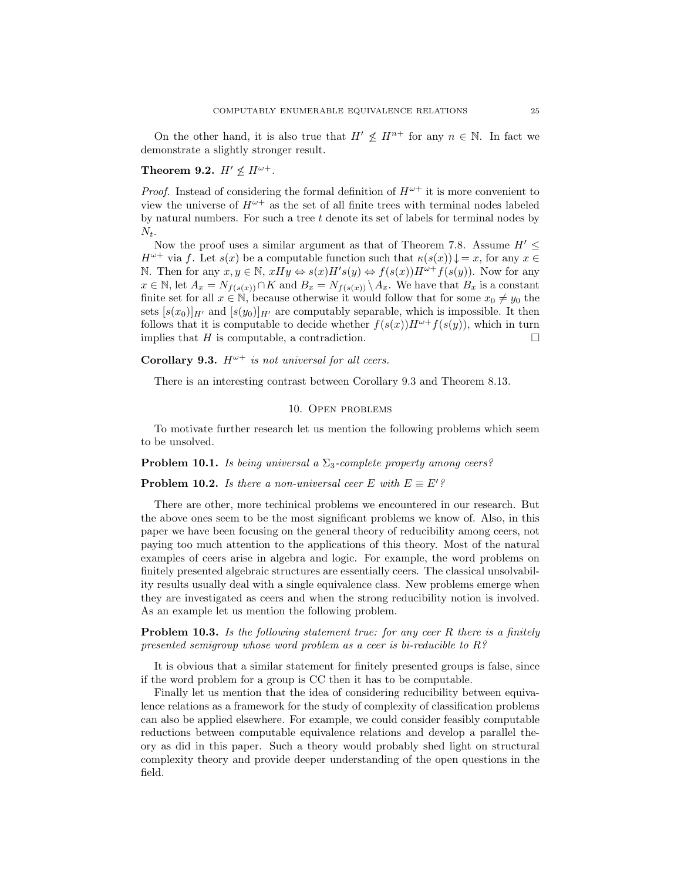On the other hand, it is also true that  $H' \nleq H^{n+}$  for any  $n \in \mathbb{N}$ . In fact we demonstrate a slightly stronger result.

# Theorem 9.2.  $H' \nleq H^{\omega+}$ .

*Proof.* Instead of considering the formal definition of  $H^{\omega+}$  it is more convenient to view the universe of  $H^{\omega+}$  as the set of all finite trees with terminal nodes labeled by natural numbers. For such a tree  $t$  denote its set of labels for terminal nodes by  $N_t$ .

Now the proof uses a similar argument as that of Theorem 7.8. Assume  $H' \leq$  $H^{\omega+}$  via f. Let  $s(x)$  be a computable function such that  $\kappa(s(x))\downarrow = x$ , for any  $x \in$ N. Then for any  $x, y \in \mathbb{N}$ ,  $xHy \Leftrightarrow s(x)H's(y) \Leftrightarrow f(s(x))H^{\omega+}f(s(y))$ . Now for any  $x \in \mathbb{N}$ , let  $A_x = N_{f(s(x))} \cap K$  and  $B_x = N_{f(s(x))} \setminus A_x$ . We have that  $B_x$  is a constant finite set for all  $x \in \mathbb{N}$ , because otherwise it would follow that for some  $x_0 \neq y_0$  the sets  $[s(x_0)]_{H'}$  and  $[s(y_0)]_{H'}$  are computably separable, which is impossible. It then follows that it is computable to decide whether  $f(s(x))H^{\omega+}f(s(y))$ , which in turn implies that H is computable, a contradiction.

Corollary 9.3.  $H^{\omega+}$  is not universal for all ceers.

There is an interesting contrast between Corollary 9.3 and Theorem 8.13.

## 10. Open problems

<span id="page-24-0"></span>To motivate further research let us mention the following problems which seem to be unsolved.

## **Problem 10.1.** Is being universal a  $\Sigma_3$ -complete property among ceers?

**Problem 10.2.** Is there a non-universal ceer E with  $E \equiv E'$ ?

There are other, more techinical problems we encountered in our research. But the above ones seem to be the most significant problems we know of. Also, in this paper we have been focusing on the general theory of reducibility among ceers, not paying too much attention to the applications of this theory. Most of the natural examples of ceers arise in algebra and logic. For example, the word problems on finitely presented algebraic structures are essentially ceers. The classical unsolvability results usually deal with a single equivalence class. New problems emerge when they are investigated as ceers and when the strong reducibility notion is involved. As an example let us mention the following problem.

# Problem 10.3. Is the following statement true: for any ceer R there is a finitely presented semigroup whose word problem as a ceer is bi-reducible to R?

It is obvious that a similar statement for finitely presented groups is false, since if the word problem for a group is CC then it has to be computable.

Finally let us mention that the idea of considering reducibility between equivalence relations as a framework for the study of complexity of classification problems can also be applied elsewhere. For example, we could consider feasibly computable reductions between computable equivalence relations and develop a parallel theory as did in this paper. Such a theory would probably shed light on structural complexity theory and provide deeper understanding of the open questions in the field.